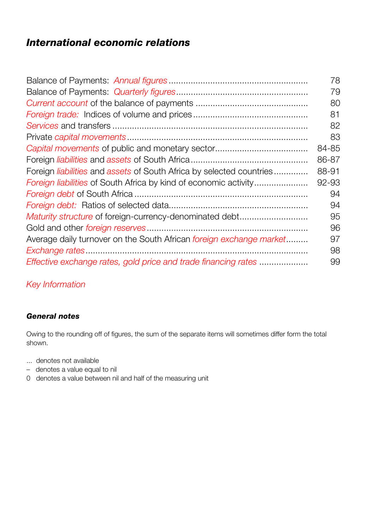## *International economic relations*

|                                                                         | 78    |
|-------------------------------------------------------------------------|-------|
|                                                                         | 79    |
|                                                                         | 80    |
|                                                                         | 81    |
|                                                                         | 82    |
|                                                                         | 83    |
|                                                                         | 84-85 |
|                                                                         | 86-87 |
| Foreign liabilities and assets of South Africa by selected countries    | 88-91 |
| <i>Foreign liabilities</i> of South Africa by kind of economic activity | 92-93 |
|                                                                         | 94    |
|                                                                         | 94    |
| Maturity structure of foreign-currency-denominated debt                 | 95    |
|                                                                         | 96    |
| Average daily turnover on the South African foreign exchange market     | 97    |
|                                                                         | 98    |
| Effective exchange rates, gold price and trade financing rates          | 99    |

## *Key Information*

## *General notes*

Owing to the rounding off of figures, the sum of the separate items will sometimes differ form the total shown.

- ... denotes not available
- denotes a value equal to nil
- 0 denotes a value between nil and half of the measuring unit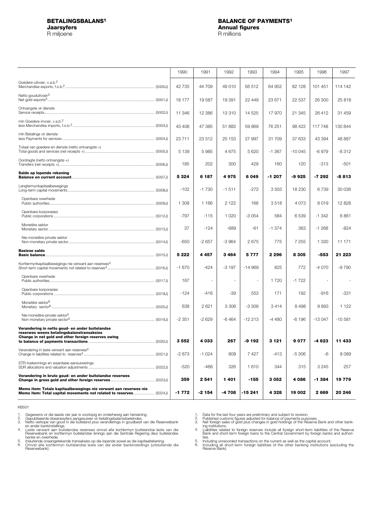R miljoene

### <span id="page-1-0"></span>**BETALINGSBALANS1 BALANCE OF PAYMENTS1 Jaarsyfers Annual figures**<br> **Annual figures**<br> **A** millione **A** millions

|                                                                                                                                                     | 1990     | 1991     | 1992                     | 1993     | 1994     | 1995     | 1996     | 1997      |
|-----------------------------------------------------------------------------------------------------------------------------------------------------|----------|----------|--------------------------|----------|----------|----------|----------|-----------|
| Goedere-uitvoer, v.a.b. <sup>2</sup>                                                                                                                | 42 735   | 44 709   | 49010                    | 56 512   | 64 952   | 82 128   | 101 451  | 114 142   |
| Netto gouduitvoer <sup>3</sup>                                                                                                                      | 18 177   | 19587    | 19 391                   | 22 449   | 23 671   | 22 537   | 26 300   | 25818     |
| Ontvangste vir dienste                                                                                                                              | 11 346   | 12 3 8 6 | 13310                    | 14 5 25  | 17970    | 21 345   | 26 412   | 31 459    |
| min Goedere-invoer, v.a.b. <sup>2</sup>                                                                                                             | 43 408   | 47 385   | 51883                    | 59 869   | 76 251   | 98 422   | 117 748  | 130 844   |
| min Betalings vir dienste                                                                                                                           | 23 711   | 23 312   | 25 153                   | 27 997   | 31 709   | 37 633   | 43 394   | 48 887    |
| Totaal van goedere en dienste (netto ontvangste +)                                                                                                  | 5 1 3 9  | 5985     | 4675                     | 5620     | $-1.367$ | $-10045$ | $-6979$  | $-8312$   |
| Oordragte (netto ontvangste +)                                                                                                                      | 185      | 202      | 300                      | 429      | 160      | 120      | $-313$   | $-501$    |
| Saldo op lopende rekening                                                                                                                           | 5324     | 6 187    | 4975                     | 6049     | -1 207   | -9925    | -7 292   | -8813     |
| Langtermynkapitaalbewegings                                                                                                                         | $-102$   | $-1730$  | $-1511$                  | $-272$   | 3503     | 18 230   | 6739     | 30 036    |
| Openbare owerhede                                                                                                                                   | 1 308    | 1 1 6 6  | 2 1 2 2                  | 168      | 3518     | 4 0 7 3  | 8019     | 12828     |
| Openbare korporasies                                                                                                                                | $-797$   | $-115$   | 1 0 2 0                  | $-3054$  | 584      | 6539     | $-1.342$ | 6861      |
| Monetêre sektor                                                                                                                                     | 37       | $-124$   | $-689$                   | $-61$    | $-1.374$ | 363      | $-1268$  | $-824$    |
| Nie-monetêre-private sektor                                                                                                                         | -650     | $-2657$  | $-3964$                  | 2675     | 775      | 7 255    | 1 3 3 0  | 11 171    |
| <b>Basiese saldo</b>                                                                                                                                | 5 2 2 2  | 4 4 5 7  | 3464                     | 5777     | 2 2 9 6  | 8 3 0 5  | -553     | 21 223    |
| Korttermynkapitaalbewegings nie verwant aan reserwes <sup>4</sup>                                                                                   | $-1670$  | $-424$   | $-3197$                  | $-14969$ | 825      | 772      | -4 070   | $-9790$   |
| Openbare owerhede                                                                                                                                   | 167      | ٠        | $\overline{\phantom{a}}$ | ÷.       | 1720     | $-1722$  |          |           |
| Openbare korporasies                                                                                                                                | $-124$   | $-416$   | $-39$                    | 553      | 171      | 192      | $-916$   | $-331$    |
| Monetêre sektor <sup>6</sup>                                                                                                                        | 638      | 2621     | 3 3 0 6                  | $-3309$  | 3414     | 8498     | 9893     | 1 1 2 2   |
| Nie-monetêre-private sektor <sup>5</sup>                                                                                                            | $-2.351$ | $-2629$  | $-6464$                  | $-12213$ | $-4480$  | $-6196$  | $-13047$ | $-10.581$ |
| Verandering in netto goud- en ander buitelandse<br>reserwes weens betalingsbalanstransaksies<br>Change in net gold and other foreign reserves owing |          |          |                          |          |          |          |          |           |
|                                                                                                                                                     | 3552     | 4033     | 267                      | $-9192$  | 3 1 2 1  | 9077     | -4 623   | 11 433    |
| Verandering in laste verwant aan reserwes <sup>4</sup>                                                                                              | $-2673$  | $-1024$  | 808                      | 7427     | $-413$   | $-5306$  | -6       | 8089      |
| STR-toekennings en waardasie-aansuiwerings                                                                                                          | $-520$   | $-468$   | 326                      | 1610     | 344      | 315      | 3 2 4 5  | 257       |
| Verandering in bruto goud- en ander buitelandse reserwes                                                                                            | 359      | 2541     | 1401                     | -155     | 3 0 5 2  | 4 0 8 6  | -1 384   | 19779     |
| Memo item: Totale kapitaalbewegings nie verwant aan reserwes nie<br>Memo item: Total capital movements not related to reserves (5024J)              | -1 772   | -2 154   | -4 708                   | -15 241  | 4 328    | 19 002   | 2669     | 20 246    |

KB501

1. 2. 3.

4.

Gegewens vir die laate vier jaar is voorlopig en onderhewig aan hersiening.<br>Gegewens vir die laate vier jaar is voorlopig en onderhewig aan hersiening.<br>Netto verkope van goud in die buiteland plus veranderings in goudbesit

5. 6.

1. 2. 3.

Data for the last four years are preliminary and subject to revision.<br>Published customs figures adjusted for balance of payments purposes.<br>Net foreign sales of gold plus changes in gold holdings of the Reserve Bank and oth 4.

ties. Including unrecorded transactions on the current as well as the capital account. Including all short-term foreign liabilities of the other banking institutions (excluding the Reserve Bank). 5. 6.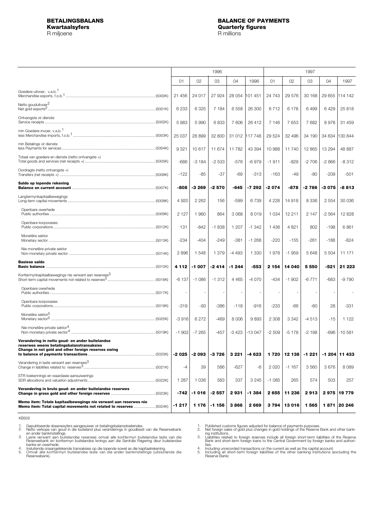<span id="page-2-0"></span>

|                                                                                                                                         |         |         | 1997     |         |          |         |         |         |          |             |
|-----------------------------------------------------------------------------------------------------------------------------------------|---------|---------|----------|---------|----------|---------|---------|---------|----------|-------------|
|                                                                                                                                         | 01      | 02      | 03       | 04      | 1996     | 01      | 02      | 03      | 04       | 1997        |
|                                                                                                                                         |         |         |          |         |          |         |         |         |          |             |
| Goedere-uitvoer, v.a.b. <sup>1</sup>                                                                                                    | 21 456  | 24 017  | 27924    | 28 054  | 101 451  | 24 743  | 29 576  | 30 168  | 29 655   | 114 142     |
| Netto gouduitvoer <sup>2</sup>                                                                                                          | 6 2 3 3 | 6 3 2 5 | 7 184    | 6558    | 26 300   | 6712    | 6178    | 6499    | 6429     | 25 818      |
| Ontvangste vir dienste                                                                                                                  | 5983    | 5990    | 6833     | 7 606   | 26 412   | 7 1 4 6 | 7653    | 7682    | 8978     | 31 459      |
| min Goedere-invoer, v.a.b. <sup>1</sup>                                                                                                 | 25 037  | 28 899  | 32 800   | 31 012  | 117 748  | 29 5 24 | 32 496  | 34 190  | 34 634   | 130 844     |
| min Betalings vir dienste                                                                                                               | 9 3 2 1 | 10617   | 11 674   | 11782   | 43 394   | 10 988  | 11740   | 12 865  | 13 2 9 4 | 48 887      |
| Totaal van goedere en dienste (netto ontvangste +)                                                                                      | $-686$  | $-3184$ | $-2533$  | $-576$  | $-6979$  | $-1911$ | $-829$  | $-2706$ | $-2866$  | $-8312$     |
| Oordragte (netto ontvangste +)                                                                                                          | $-122$  | -85     | $-37$    | -69     | $-313$   | $-163$  | $-49$   | $-80$   | $-209$   | $-501$      |
| Saldo op lopende rekening                                                                                                               |         |         |          |         |          |         |         |         |          |             |
|                                                                                                                                         | -808    | $-3269$ | $-2570$  | -645    | $-7292$  | $-2074$ | -878    | $-2786$ | $-3075$  | -8 813      |
| Langtermynkapitaalbewegings                                                                                                             | 4 9 20  | 2 2 6 2 | 156      | $-599$  | 6739     | 4 2 2 8 | 14 918  | 8 3 3 6 | 2554     | 30 036      |
| Openbare owerhede                                                                                                                       | 2 1 2 7 | 1960    | 864      | 3 0 6 8 | 8019     | 1 0 3 4 | 12 211  | 2 1 4 7 | $-2564$  | 12 8 28     |
| Openbare korporasies                                                                                                                    | 131     | $-842$  | $-1838$  | 1 207   | $-1.342$ | 1 4 3 6 | 4821    | 802     | $-198$   | 6861        |
| Monetêre sektor                                                                                                                         | $-234$  | $-404$  | $-249$   | $-381$  | $-1268$  | $-220$  | $-155$  | $-261$  | $-188$   | $-824$      |
| Nie-monetêre-private sektor                                                                                                             | 2896    | 1548    | 1 3 7 9  | $-4493$ | 1 3 3 0  | 1978    | $-1959$ | 5648    | 5 504    | 11 171      |
| <b>Basiese saldo</b>                                                                                                                    | 4 1 1 2 | $-1007$ | $-2414$  | $-1244$ | -553     | 2 1 5 4 | 14 040  | 5 5 5 0 | -521     | 21 223      |
| Korttermynkapitaalbewegings nie verwant aan reserwes <sup>3</sup>                                                                       | $-6137$ | $-1086$ | $-1312$  | 4 4 6 5 | $-4070$  | $-434$  | $-1902$ | $-6771$ | $-683$   | $-9790$     |
| Openbare owerhede                                                                                                                       |         |         |          |         |          |         |         |         |          |             |
| Openbare korporasies                                                                                                                    | $-319$  | -93     | $-386$   | $-118$  | $-916$   | $-233$  | $-66$   | $-60$   | 28       | $-331$      |
| Monetêre sektor <sup>5</sup>                                                                                                            | $-3916$ | 6 2 7 2 | $-469$   | 8 0 0 6 | 9893     | 2 3 0 8 | 3 3 4 2 | $-4513$ | $-15$    | 1 1 2 2     |
| Nie-monetêre-private sektor <sup>4</sup>                                                                                                | $-1902$ | $-7265$ | $-457$   | $-3423$ | $-13047$ | $-2509$ | $-5178$ | $-2198$ | $-696$   | $-10.581$   |
| Verandering in netto goud- en ander buitelandse                                                                                         |         |         |          |         |          |         |         |         |          |             |
| reserwes weens betalingsbalanstransaksies<br>Change in net gold and other foreign reserves owing                                        | -2 025  | -2 093  | -3 7 2 6 | 3 2 2 1 | -4 623   | 1720    | 12 138  | $-1221$ | $-1204$  | 11 433      |
| Verandering in laste verwant aan reserwes <sup>3</sup><br>Change in liabilities related to reserves <sup>3</sup> .                      | -4      | 39      | 586      | -627    | -6       | 2020    | $-1167$ | 3560    | 3676     | 8 0 8 9     |
| STR-toekennings en waardasie-aansuiwerings                                                                                              | 1 2 8 7 | 1 0 3 8 | 583      | 337     | 3 2 4 5  | $-1085$ | 265     | 574     | 503      | 257         |
| Verandering in bruto goud- en ander buitelandse reserwes                                                                                | -742    | $-1016$ | $-2557$  | 2931    | $-1.384$ | 2655    | 11 236  | 2913    |          | 2975 19779  |
| Memo item: Totale kapitaalbewegings nie verwant aan reserwes nie<br>Memo item: Total capital movements not related to reserves  (5024K) | $-1217$ | 1 1 7 6 | $-1156$  | 3866    | 2669     | 3794    | 13 016  | 1565    |          | 1871 20 246 |

KB502

1. 2.

Gepubliseerde doeanesyfers aangesuiwer vir betalingsbalansdoeleindes.<br>Netto verkope van goud in die buiteland plus veranderings in goudbesit van die Reserwebank<br>en ander bankinstellings.<br>Laste verwant aan buitelandse reser 3.

4. 5.

1. 2.

Published customs figures adjusted for balance of payments purposes.<br>Net foreign sales of gold plus changes in gold holdings of the Reserve Bank and other bank-<br>Net foreign sales of gold plus changes in gold holdings of th 3.

4. 5.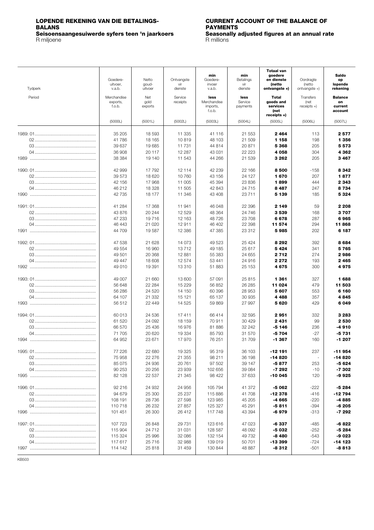# <span id="page-3-0"></span>**LOPENDE REKENING VAN DIE BETALINGS- CURRENT ACCOUNT OF THE BALANCE OF**

R miljoene R millions (R millions et al., 2008). R millions (R millions et al., 2014). R millions (R millions

**BAYMENTS**<br>**Seasonally adjusted figures at an annual rate** R millions **Seisoensaangesuiwerde syfers teen 'n jaarkoers Seasonally adjusted figures at an annual rate**

| Tydperk | Goedere-<br>uitvoer,<br>v.a.b.    | Netto<br>goud-<br>uitvoer | Ontvangste<br>vir<br>dienste | min<br>Goedere-<br>invoer<br>v.a.b.       | min<br>Betalings<br>vir<br>dienste | <b>Totaal van</b><br>goedere<br>en dienste<br>(netto<br>ontvangste +) | Oordragte<br>(netto<br>ontvangste $+)$ | Saldo<br>op<br>lopende<br>rekening         |
|---------|-----------------------------------|---------------------------|------------------------------|-------------------------------------------|------------------------------------|-----------------------------------------------------------------------|----------------------------------------|--------------------------------------------|
| Period  | Merchandise<br>exports,<br>f.o.b. | Net<br>gold<br>exports    | Service<br>receipts          | less<br>Merchandise<br>imports,<br>f.o.b. | less<br>Service<br>payments        | Total<br>goods and<br>services<br>(net<br>$receipts +$                | Transfers<br>(net<br>$receipts +$      | <b>Balance</b><br>on<br>current<br>account |
|         | (5000L)                           | (5001L)                   | (5002L)                      | (5003L)                                   | (5004L)                            | (5005L)                                                               | (5006L)                                | (5007L)                                    |
|         | 35 205<br>41786                   | 18 593<br>18 165          | 11 335<br>10819              | 41 116<br>48 103                          | 21 553<br>21 509                   | 2464<br>1 158<br>5368                                                 | 113<br>198                             | 2577<br>1 3 5 6<br>5573                    |
|         | 39 637<br>36 908<br>38 384        | 19685<br>20 117<br>19 140 | 11 731<br>12 287<br>11 543   | 44 814<br>43 031<br>44 266                | 20 871<br>22 2 23<br>21 539        | 4 0 5 8<br>3 2 6 2                                                    | 205<br>304<br>205                      | 4 3 6 2<br>3467                            |
|         | 42 999                            | 17792                     | 12 114                       | 42 239                                    | 22 166                             | 8500                                                                  | -158                                   | 8342                                       |
|         | 39 573                            | 18 6 20                   | 10 760                       | 43 156                                    | 24 127                             | 1670                                                                  | 207                                    | 1877                                       |
|         | 42 156                            | 17 968                    | 11 005                       | 45 394                                    | 23 836                             | 1899                                                                  | 444                                    | 2 3 4 3                                    |
|         | 46 212                            | 18 328                    | 11 505                       | 42 843                                    | 24 7 15                            | 8487                                                                  | 247                                    | 8734                                       |
|         | 42 735                            | 18 177                    | 11 346                       | 43 408                                    | 23 711                             | 5 139                                                                 | 185                                    | 5 3 2 4                                    |
|         | 41 284                            | 17 368                    | 11941                        | 46 048                                    | 22 396                             | 2 149                                                                 | 59                                     | 2 2 0 8                                    |
|         | 43 876                            | 20 244                    | 12 5 29                      | 48 364                                    | 24 746                             | 3539                                                                  | 168                                    | 3707                                       |
|         | 47 233                            | 19716                     | 12 163                       | 48726                                     | 23 708                             | 6678                                                                  | 287                                    | 6965                                       |
|         | 46 443                            | 21 0 20                   | 12911                        | 46 402                                    | 22 398                             | 11 574                                                                | 294                                    | 11868                                      |
|         | 44 709                            | 19587                     | 12 3 8 6                     | 47 385                                    | 23 312                             | 5985                                                                  | 202                                    | 6 187                                      |
|         | 47 538                            | 21 628                    | 14 073                       | 49 523                                    | 25 4 24                            | 8 2 9 2                                                               | 392                                    | 8684                                       |
|         | 49 554                            | 16 960                    | 13712                        | 49 185                                    | 25 617                             | 5424                                                                  | 341                                    | 5765                                       |
|         | 49 501                            | 20 368                    | 12 881                       | 55 383                                    | 24 655                             | 2712                                                                  | 274                                    | 2986                                       |
|         | 49 447                            | 18 608                    | 12 574                       | 53 441                                    | 24 916                             | 2 2 7 2                                                               | 193                                    | 2465                                       |
|         | 49 010                            | 19 391                    | 13 310                       | 51883                                     | 25 153                             | 4675                                                                  | 300                                    | 4975                                       |
|         | 49 007                            | 21 660                    | 13 600                       | 57 091                                    | 25815                              | 1 3 6 1                                                               | 327                                    | 1688                                       |
|         | 56 648                            | 22 284                    | 15 2 2 9                     | 56 852                                    | 26 285                             | 11 024                                                                | 479                                    | 11 503                                     |
|         | 56 286                            | 24 5 20                   | 14 150                       | 60 396                                    | 28 953                             | 5607                                                                  | 553                                    | 6 160                                      |
|         | 64 107                            | 21 3 3 2                  | 15 121                       | 65 137                                    | 30 935                             | 4488                                                                  | 357                                    | 4845                                       |
|         | 56 512                            | 22 449                    | 14 5 25                      | 59 869                                    | 27 997                             | 5620                                                                  | 429                                    | 6049                                       |
|         | 60 013                            | 24 536                    | 17411                        | 66 414                                    | 32 595                             | 2951                                                                  | 332                                    | 3 2 8 3                                    |
|         | 61 520                            | 24 092                    | 18 159                       | 70911                                     | 30 4 29                            | 2431                                                                  | 99                                     | 2 5 3 0                                    |
|         | 66 570                            | 25 4 36                   | 16976                        | 81 886                                    | 32 242                             | -5 146                                                                | 236                                    | -4910                                      |
|         | 71 705                            | 20 6 20                   | 19 3 34                      | 85 793                                    | 31 570                             | -5704                                                                 | $-27$                                  | -5 731                                     |
|         | 64 952                            | 23 671                    | 17970                        | 76 251                                    | 31 709                             | -1 367                                                                | 160                                    | -1 207                                     |
|         | 77 226                            | 22 680                    | 19 325                       | 95 319                                    | 36 103                             | $-12191$                                                              | 237                                    | $-11954$                                   |
|         | 75 958                            | 22 276                    | 21 355                       | 98 211                                    | 36 198                             | -14 820                                                               | $\overline{\phantom{a}}$               | $-14820$                                   |
|         | 85 075                            | 24 936                    | 20761                        | 97 502                                    | 39 147                             | -5877                                                                 | 253                                    | -5 624                                     |
|         | 90 253                            | 20 25 6                   | 23 939                       | 102 656                                   | 39 0 84                            | -7 292                                                                | -10                                    | -7 302                                     |
|         | 82 1 28                           | 22 537                    | 21 345                       | 98 4 22                                   | 37 633                             | $-10045$                                                              | 120                                    | -9 925                                     |
|         | 92 216                            | 24 932                    | 24 956                       | 105 794                                   | 41 372                             | -5 062                                                                | $-222$                                 | -5 284                                     |
|         | 94 679                            | 25 300                    | 25 237                       | 115 886                                   | 41708                              | -12 378                                                               | -416                                   | -12 794                                    |
|         | 108 191                           | 28 736                    | 27 598                       | 123 985                                   | 45 205                             | -4 665                                                                | $-220$                                 | -4885                                      |
|         | 110718                            | 26 232                    | 27 857                       | 125 327                                   | 45 291                             | -5811                                                                 | $-394$                                 | $-6205$                                    |
|         | 101 451                           | 26 300                    | 26 412                       | 117748                                    | 43 394                             | -6979                                                                 | -313                                   | -7 292                                     |
|         | 107 723                           | 26 848                    | 29 731                       | 123 616                                   | 47 023                             | -6 337                                                                | -485                                   | -6 822                                     |
|         | 115 904                           | 24 712                    | 31 031                       | 128 587                                   | 48 092                             | -5 032                                                                | $-252$                                 | $-5284$                                    |
|         | 115 324                           | 25 996                    | 32 086                       | 132 154                                   | 49732                              | -8 480                                                                | $-543$                                 | -9 023                                     |
|         | 117617                            | 25 7 16                   | 32 988                       | 139 019                                   | 50 701                             | -13 399                                                               | $-724$                                 | $-14123$                                   |
|         | 114 142                           | 25 818                    | 31 459                       | 130 844                                   | 48 887                             | -8 312                                                                | -501                                   | -8813                                      |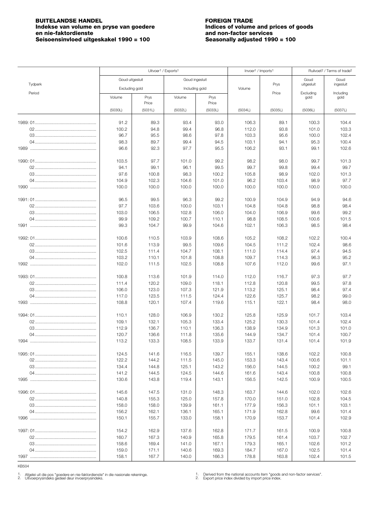### <span id="page-4-0"></span>**BUITELANDSE HANDEL**<br> **BUITELANDSE HANDEL**<br> **Indekse van volume en pryse van goedere Example 1996** Indices of volume and prices of goods **Indekse van volume en pryse van goedere en nie-faktordienste Seisoensinvloed uitgeskakel 1990 = 100**

# **end non-factor services**<br>**Seasonally adjusted 1990 = 100**

|         |                 | Uitvoer <sup>1</sup> / Exports <sup>1</sup> |                |                | Invoer <sup>1</sup> / Imports <sup>1</sup> |                | Ruilvoet <sup>2</sup> / Terms of trade <sup>2</sup> |                   |
|---------|-----------------|---------------------------------------------|----------------|----------------|--------------------------------------------|----------------|-----------------------------------------------------|-------------------|
|         | Goud uitgesluit |                                             | Goud ingesluit |                |                                            |                | Goud                                                | Goud              |
| Tydperk | Excluding gold  |                                             | Including gold |                | Volume                                     | Prys           | uitgesluit                                          | ingesluit         |
| Period  | Volume          | Prys                                        | Volume         | Prys           |                                            | Price          | Excluding<br>gold                                   | Including<br>gold |
|         |                 | Price                                       |                | Price          |                                            |                |                                                     |                   |
|         | (5030L)         | (5031L)                                     | (5032L)        | (5033L)        | (5034L)                                    | (5035L)        | (5036L)                                             | (5037L)           |
|         | 91.2            |                                             | 93.4           | 93.0           | 106.3                                      | 89.1           | 100.3                                               | 104.4             |
|         | 100.2           | 89.3<br>94.8                                | 99.4           | 96.8           | 112.0                                      | 93.8           | 101.0                                               | 103.3             |
|         | 96.7            | 95.5                                        | 98.6           | 97.8           | 103.3                                      | 95.6           | 100.0                                               | 102.4             |
|         | 98.3            | 89.7                                        | 99.4           | 94.5           | 103.1                                      | 94.1           | 95.3                                                | 100.4             |
|         | 96.6            | 92.3                                        | 97.7           | 95.5           | 106.2                                      | 93.1           | 99.1                                                | 102.6             |
|         |                 |                                             |                |                |                                            |                |                                                     |                   |
|         | 103.5<br>94.1   | 97.7<br>99.1                                | 101.0<br>96.1  | 99.2<br>99.5   | 98.2<br>99.7                               | 98.0<br>99.8   | 99.7<br>99.4                                        | 101.3<br>99.7     |
|         | 97.6            | 100.8                                       | 98.3           | 100.2          | 105.8                                      | 98.9           | 102.0                                               | 101.3             |
|         | 104.9           | 102.3                                       | 104.6          | 101.0          | 96.2                                       | 103.4          | 98.9                                                | 97.7              |
|         | 100.0           | 100.0                                       | 100.0          | 100.0          | 100.0                                      | 100.0          | 100.0                                               | 100.0             |
|         |                 |                                             |                |                |                                            |                |                                                     |                   |
|         | 96.5            | 99.5                                        | 96.3           | 99.2           | 100.9                                      | 104.9          | 94.9                                                | 94.6              |
|         | 97.7<br>103.0   | 103.6<br>106.5                              | 100.0<br>102.8 | 103.1<br>106.0 | 104.8<br>104.0                             | 104.8<br>106.9 | 98.8<br>99.6                                        | 98.4<br>99.2      |
|         | 99.9            | 109.2                                       | 100.7          | 110.1          | 98.8                                       | 108.5          | 100.6                                               | 101.5             |
|         | 99.3            | 104.7                                       | 99.9           | 104.6          | 102.1                                      | 106.3          | 98.5                                                | 98.4              |
|         |                 |                                             |                |                |                                            |                |                                                     |                   |
|         | 100.6           | 110.5                                       | 103.9          | 108.6          | 105.2                                      | 108.2          | 102.2                                               | 100.4             |
|         | 101.6           | 113.9                                       | 99.5           | 109.6          | 104.5                                      | 111.2          | 102.4                                               | 98.6              |
|         | 102.5<br>103.2  | 111.4<br>110.1                              | 104.7<br>101.8 | 108.1<br>108.8 | 111.0<br>109.7                             | 114.4<br>114.3 | 97.4<br>96.3                                        | 94.5<br>95.2      |
|         | 102.0           | 111.5                                       | 102.5          | 108.8          | 107.6                                      | 112.0          | 99.6                                                | 97.1              |
|         |                 |                                             |                |                |                                            |                |                                                     |                   |
|         | 100.8           | 113.6                                       | 101.9          | 114.0          | 112.0                                      | 116.7          | 97.3                                                | 97.7              |
|         | 111.4           | 120.2                                       | 109.0          | 118.1          | 112.8                                      | 120.8          | 99.5                                                | 97.8              |
|         | 106.0<br>117.0  | 123.0<br>123.5                              | 107.3<br>111.5 | 121.9<br>124.4 | 113.2<br>122.6                             | 125.1<br>125.7 | 98.4<br>98.2                                        | 97.4<br>99.0      |
|         | 108.8           | 120.1                                       | 107.4          | 119.6          | 115.1                                      | 122.1          | 98.4                                                | 98.0              |
|         |                 |                                             |                |                |                                            |                |                                                     |                   |
|         | 110.1           | 128.0                                       | 106.9          | 130.2          | 125.8                                      | 125.9          | 101.7                                               | 103.4             |
|         | 109.1           | 132.1                                       | 105.3          | 133.4          | 125.2                                      | 130.3          | 101.4                                               | 102.4             |
|         | 112.9           | 136.7                                       | 110.1          | 136.3          | 138.9                                      | 134.9          | 101.3                                               | 101.0             |
|         | 120.7<br>113.2  | 136.6<br>133.3                              | 111.8<br>108.5 | 135.6<br>133.9 | 144.9<br>133.7                             | 134.7<br>131.4 | 101.4<br>101.4                                      | 100.7<br>101.9    |
|         |                 |                                             |                |                |                                            |                |                                                     |                   |
|         | 124.5           | 141.6                                       | 116.5          | 139.7          | 155.1                                      | 138.6          | 102.2                                               | 100.8             |
|         | 122.2           | 144.2                                       | 111.5          | 145.0          | 153.3                                      | 143.4          | 100.6                                               | 101.1             |
|         | 134.4           | 144.8                                       | 125.1          | 143.2          | 156.0                                      | 144.5          | 100.2                                               | 99.1              |
|         | 141.2           | 144.5                                       | 124.5          | 144.6          | 161.6                                      | 143.4          | 100.8                                               | 100.8             |
|         | 130.6           | 143.8                                       | 119.4          | 143.1          | 156.5                                      | 142.5          | 100.9                                               | 100.5             |
|         | 145.6           | 147.5                                       | 131.0          | 148.3          | 163.7                                      | 144.6          | 102.0                                               | 102.6             |
|         | 140.8           | 155.3                                       | 125.0          | 157.8          | 170.0                                      | 151.0          | 102.8                                               | 104.5             |
|         | 158.0           | 158.0                                       | 139.9          | 161.1          | 177.9                                      | 156.3          | 101.1                                               | 103.1             |
|         | 156.2           | 162.1                                       | 136.1          | 165.1          | 171.9                                      | 162.8          | 99.6                                                | 101.4             |
|         | 150.1           | 155.7                                       | 133.0          | 158.1          | 170.9                                      | 153.7          | 101.4                                               | 102.9             |
|         | 154.2           | 162.9                                       | 137.6          | 162.8          | 171.7                                      | 161.5          | 100.9                                               | 100.8             |
|         | 160.7           | 167.3                                       | 140.9          | 165.8          | 179.5                                      | 161.4          | 103.7                                               | 102.7             |
|         | 158.6           | 169.4                                       | 141.0          | 167.1          | 179.3                                      | 165.1          | 102.6                                               | 101.2             |
|         | 159.0           | 171.1                                       | 140.6          | 169.3          | 184.7                                      | 167.0          | 102.5                                               | 101.4             |
|         | 158.1           | 167.7                                       | 140.0          | 166.3          | 178.8                                      | 163.8          | 102.4                                               | 101.5             |

KB504

1. Afgelei uit die pos "goedere en nie-faktordienste" in die nasionale rekeninge.<br>2. Uitvoerprysindeks gedeel deur invoerprysindeks.

1. Derived from the national accounts item "goods and non-factor services".<br>2. Export price index divided by import price index.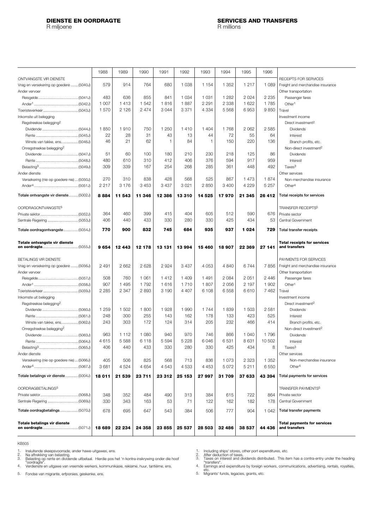<span id="page-5-0"></span>R miljoene

|                                           | 1988    | 1989    | 1990    | 1991    | 1992    | 1993         | 1994    | 1995    | 1996    |                                                     |
|-------------------------------------------|---------|---------|---------|---------|---------|--------------|---------|---------|---------|-----------------------------------------------------|
| ONTVANGSTE VIR DIENSTE                    |         |         |         |         |         |              |         |         |         | RECEIPTS FOR SERVICES                               |
| Vrag en versekering op goedere  (5040J)   | 579     | 914     | 764     | 680     | 1 0 38  | 1 1 5 4      | 1 352   | 1 2 1 7 | 1 0 8 9 | Freight and merchandise insurance                   |
| Ander vervoer                             |         |         |         |         |         |              |         |         |         | Other transportation                                |
|                                           | 483     | 636     | 855     | 841     | 1 0 3 4 | 1 0 3 1      | 1 2 8 2 | 2 0 2 4 | 2 2 3 5 | Passenger fares                                     |
|                                           | 1 0 0 7 | 1413    | 1 542   | 1816    | 1887    | 2 2 9 1      | 2 3 3 8 | 1 6 2 2 | 1785    | Other <sup>1</sup>                                  |
|                                           | 1570    | 2 1 2 6 | 2474    | 3044    | 3 3 7 1 | 4 3 3 4      | 5 5 6 8 | 6953    | 9850    | Travel                                              |
| Inkomste uit belegging                    |         |         |         |         |         |              |         |         |         | Investment income                                   |
| Regstreekse belegging <sup>2</sup>        |         |         |         |         |         |              |         |         |         | Direct investment <sup>2</sup>                      |
|                                           | 1850    | 1910    | 750     | 1 2 5 0 | 1410    | 1 4 0 4      | 1768    | 2 0 6 2 | 2585    | <b>Dividends</b>                                    |
|                                           | 22      | 28      | 31      | 43      | 13      | 44           | 72      | 55      | 64      | Interest                                            |
| Winste van takke, ens (5046J)             | 46      | 21      | 62      | 1       | 84      | $\mathbf{1}$ | 150     | 220     | 136     | Branch profits, etc.                                |
| Onregstreekse belegging <sup>2</sup>      |         |         |         |         |         |              |         |         |         | Non-direct investment <sup>2</sup>                  |
|                                           | 51      | 60      | 100     | 180     | 210     | 230          | 218     | 125     | 86      | Dividends                                           |
|                                           | 480     | 610     | 310     | 412     | 406     | 376          | 594     | 917     | 959     | Interest                                            |
|                                           | 309     | 339     | 167     | 254     | 268     | 285          | 361     | 448     | 492     | Taxes <sup>3</sup>                                  |
| Ander dienste                             |         |         |         |         |         |              |         |         |         | Other services                                      |
| Versekering (nie op goedere nie)  (5050J) | 270     | 310     | 838     | 428     | 568     | 525          | 867     | 1473    | 1874    | Non-merchandise insurance                           |
|                                           | 2 2 1 7 | 3 1 7 6 | 3 4 5 3 | 3 4 3 7 | 3021    | 2850         | 3 4 0 0 | 4 2 2 9 | 5 2 5 7 | Other <sup>4</sup>                                  |
| Totale ontvangste vir dienste (5002J)     | 8884    | 11 543  | 11 346  | 12 386  | 13310   | 14 5 25      | 17970   | 21 345  | 26 412  | Total receipts for services                         |
| OORDRAGONTVANGSTE <sup>5</sup>            |         |         |         |         |         |              |         |         |         | <b>TRANSFER RECEIPTS<sup>5</sup></b>                |
|                                           | 364     | 460     | 399     | 415     | 404     | 605          | 512     | 590     | 676     | Private sector                                      |
|                                           | 406     | 440     | 433     | 330     | 280     | 330          | 425     | 434     | 53      | Central Government                                  |
|                                           |         |         |         |         |         |              |         |         |         |                                                     |
| Totale oordragontvangste (5054J)          | 770     | 900     | 832     | 745     | 684     | 935          | 937     | 1024    | 729     | Total transfer receipts                             |
| Totale ontvangste vir dienste             | 9654    | 12 443  | 12 178  | 13 13 1 | 13 994  | 15 460       | 18 907  | 22 369  | 27 141  | <b>Total receipts for services</b><br>and transfers |
| BETALINGS VIR DIENSTE                     |         |         |         |         |         |              |         |         |         | PAYMENTS FOR SERVICES                               |
| Vrag en versekering op goedere  (5056J)   | 2 4 9 1 | 2 6 6 2 | 2628    | 2924    | 3 4 3 7 | 4 0 5 3      | 4 8 4 0 | 6744    | 7856    | Freight and merchandise insurance                   |
| Ander vervoer                             |         |         |         |         |         |              |         |         |         | Other transportation                                |
|                                           | 508     | 760     | 1 0 6 1 | 1412    | 1 4 0 9 | 1491         | 2 0 8 4 | 2 0 5 1 | 2 4 4 6 | Passenger fares                                     |
|                                           | 907     | 1 4 9 5 | 1792    | 1616    | 1710    | 1807         | 2 0 5 6 | 2 197   | 1 902   | Other <sup>1</sup>                                  |
|                                           | 2 2 8 5 | 2 3 4 7 | 2893    | 3 1 9 0 | 4 4 0 7 | 6 108        | 6558    | 6610    | 7 4 6 2 | Travel                                              |
| Inkomste uit belegging                    |         |         |         |         |         |              |         |         |         | Investment income                                   |
| Regstreekse belegging <sup>2</sup>        |         |         |         |         |         |              |         |         |         | Direct investment <sup>2</sup>                      |
|                                           | 1 259   | 1 502   | 1800    | 1928    | 1 9 9 0 | 1744         | 1839    | 1 503   | 2581    | Dividends                                           |
|                                           | 248     | 300     | 255     | 143     | 162     | 178          | 133     | 423     | 525     | Interest                                            |
| Winste van takke, ens (5062J)             | 243     | 303     | 172     | 124     | 314     | 205          | 232     | 466     | 414     | Branch profits, etc.                                |
| Onregstreekse belegging <sup>2</sup>      |         |         |         |         |         |              |         |         |         | Non-direct investment <sup>2</sup>                  |
|                                           | 963     | 1 1 1 2 | 1 0 8 0 | 940     | 970     | 746          | 866     | 1 0 4 0 | 1796    | <b>Dividends</b>                                    |
|                                           | 4615    | 5 5 8 8 | 6118    | 5 5 9 4 | 5 2 2 8 | 6046         | 6531    | 8631    | 10 502  | Interest                                            |
|                                           | 406     | 440     | 433     | 330     | 280     | 330          | 425     | 434     | 8       | Taxes <sup>3</sup>                                  |
| Ander dienste                             |         |         |         |         |         |              |         |         |         | Other services                                      |
| Versekering (nie op goedere nie)  (5066J) | 405     | 506     | 825     | 568     | 713     | 836          | 1 0 7 3 | 2 3 2 3 | 1 352   | Non-merchandise insurance                           |
|                                           | 3681    | 4 5 2 4 | 4654    | 4543    | 4 5 3 3 | 4 4 5 3      | 5 0 7 2 | 5211    | 6550    | Other <sup>4</sup>                                  |
| Totale betalings vir dienste  (5004J)     | 18 011  | 21 539  | 23 711  | 23 312  | 25 153  | 27 997       | 31 709  | 37 633  | 43 394  | Total payments for services                         |
| OORDRAGBETALINGS <sup>5</sup>             |         |         |         |         |         |              |         |         |         | TRANSFER PAYMENTS5                                  |
|                                           | 348     | 352     | 484     | 490     | 313     | 384          | 615     | 722     | 864     | Private sector                                      |
|                                           | 330     | 343     | 163     | 53      | 71      | 122          | 162     | 182     | 178     | Central Government                                  |
|                                           | 678     | 695     | 647     | 543     | 384     | 506          | 777     | 904     | 1 0 4 2 | <b>Total transfer payments</b>                      |
|                                           |         |         |         |         |         |              |         |         |         |                                                     |
| <b>Totale betalings vir dienste</b>       | 18 689  | 22 234  | 24 358  | 23 855  | 25 537  | 28 503       | 32 486  | 38 537  | 44 436  | <b>Total payments for services</b><br>and transfers |

KB505

Insluitende skeepsvoorrade, ander hawe-uitgawes, ens.<br>Na aftrekking van belasting.<br>"oordragte".<br>"oordragte".<br>Verdienste en uitgawe van vreemde werkers, kommunikasie, reklame, huur, tantième, ens.<br>Verdienste en uitgawe van 1. 2. 3.

4.

Fondse van migrante, erfporsies, geskenke, ens. 5.

1. 2. 3.

Including ships' stores, other port expenditures, etc.<br>After deduction of taxes.<br>Taxes on interest and dividends distributed. This item has a contra-entry under the heading<br>"transfers".<br>Earnings and expenditure by foreign 4.

5.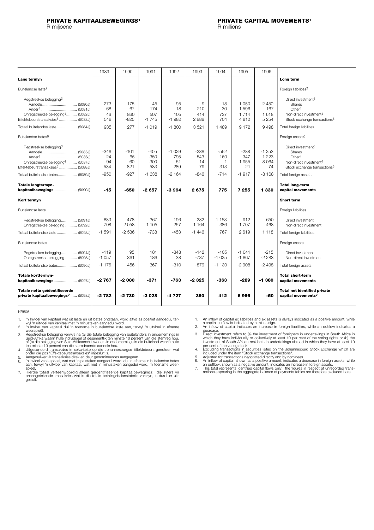<span id="page-6-0"></span>R miljoene

|                                                                                                                                                                        | 1989                                | 1990                                    | 1991                                            | 1992                                            | 1993                                      | 1994                                   | 1995                                         | 1996                                              |                                                                                                                                                                          |
|------------------------------------------------------------------------------------------------------------------------------------------------------------------------|-------------------------------------|-----------------------------------------|-------------------------------------------------|-------------------------------------------------|-------------------------------------------|----------------------------------------|----------------------------------------------|---------------------------------------------------|--------------------------------------------------------------------------------------------------------------------------------------------------------------------------|
| Lang termyn                                                                                                                                                            |                                     |                                         |                                                 |                                                 |                                           |                                        |                                              |                                                   | Long term                                                                                                                                                                |
| Buitelandse laste <sup>2</sup>                                                                                                                                         |                                     |                                         |                                                 |                                                 |                                           |                                        |                                              |                                                   | Foreign liabilities <sup>2</sup>                                                                                                                                         |
| Regstreekse belegging <sup>3</sup><br>Onregstreekse belegging <sup>4</sup> (5082J)<br>Effektebeurstransaksies <sup>5</sup> (5083J)                                     | 273<br>68<br>46<br>548              | 175<br>67<br>860<br>$-825$              | 45<br>174<br>507<br>$-1745$                     | 95<br>$-18$<br>105<br>$-1982$                   | 9<br>210<br>414<br>2888                   | 18<br>30<br>737<br>704                 | 1 0 5 0<br>1596<br>1 7 1 4<br>4812           | 2 4 5 0<br>167<br>1618<br>5 2 5 4                 | Direct investment <sup>3</sup><br>Shares<br>Other <sup>4</sup><br>Non-direct investment <sup>4</sup><br>Stock exchange transactions <sup>5</sup>                         |
| Totaal buitelandse laste  (5084J)                                                                                                                                      | 935                                 | 277                                     | $-1019$                                         | $-1800$                                         | 3521                                      | 1489                                   | 9 1 7 2                                      | 9498                                              | Total foreign liabilities                                                                                                                                                |
| Buitelandse bates <sup>6</sup>                                                                                                                                         |                                     |                                         |                                                 |                                                 |                                           |                                        |                                              |                                                   | Foreign assets <sup>6</sup>                                                                                                                                              |
| Regstreekse belegging <sup>3</sup><br>Onregstreekse belegging <sup>4</sup> (5087J)<br>Effektebeurstransaksies <sup>5</sup> (5088J)<br>Totaal buitelandse bates (5089J) | -346<br>24<br>$-94$<br>-534<br>-950 | -101<br>$-65$<br>60<br>$-821$<br>$-927$ | $-405$<br>$-350$<br>$-300$<br>$-583$<br>$-1638$ | $-1029$<br>$-795$<br>$-51$<br>$-289$<br>$-2164$ | $-238$<br>$-543$<br>14<br>$-79$<br>$-846$ | $-562$<br>160<br>1<br>$-313$<br>$-714$ | $-288$<br>347<br>$-1955$<br>$-21$<br>$-1917$ | $-1253$<br>1 2 2 3<br>$-8064$<br>$-74$<br>$-8168$ | Direct investment <sup>3</sup><br>Shares<br>Other <sup>4</sup><br>Non-direct investment <sup>4</sup><br>Stock exchange transactions <sup>5</sup><br>Total foreign assets |
| Totale langtermyn-                                                                                                                                                     |                                     |                                         |                                                 |                                                 |                                           |                                        |                                              |                                                   | <b>Total long-term</b>                                                                                                                                                   |
| kapitaalbewegings (5090J)                                                                                                                                              | $-15$                               | $-650$                                  | $-2657$                                         | $-3964$                                         | 2675                                      | 775                                    | 7 255                                        | 1 330                                             | capital movements                                                                                                                                                        |
| Kort termyn                                                                                                                                                            |                                     |                                         |                                                 |                                                 |                                           |                                        |                                              |                                                   | <b>Short term</b>                                                                                                                                                        |
| Buitelandse laste                                                                                                                                                      |                                     |                                         |                                                 |                                                 |                                           |                                        |                                              |                                                   | Foreign liabilities                                                                                                                                                      |
| Regstreekse belegging (5091J)<br>Onregstreekse belegging  (5092J)                                                                                                      | -883<br>$-708$                      | $-478$<br>$-2058$                       | 367<br>$-1105$                                  | $-196$<br>$-257$                                | $-282$<br>$-1164$                         | 1 1 5 3<br>$-386$                      | 912<br>1 707                                 | 650<br>468                                        | Direct investment<br>Non-direct investment                                                                                                                               |
| Totaal buitelandse laste  (5093J)                                                                                                                                      | $-1.591$                            | $-2536$                                 | $-738$                                          | $-453$                                          | $-1446$                                   | 767                                    | 2619                                         | 1 1 1 8                                           | Total foreign liabilities                                                                                                                                                |
| Buitelandse bates                                                                                                                                                      |                                     |                                         |                                                 |                                                 |                                           |                                        |                                              |                                                   | Foreign assets                                                                                                                                                           |
| Regstreekse belegging (5094J)<br>Onregstreekse belegging  (5095J)                                                                                                      | $-119$<br>$-1057$                   | 95<br>361                               | 181<br>186                                      | $-348$<br>38                                    | $-142$<br>$-737$                          | $-105$<br>$-1025$                      | $-1041$<br>$-1867$                           | $-215$<br>$-2283$                                 | Direct investment<br>Non-direct investment                                                                                                                               |
| Totaal buitelandse bates (5096J)                                                                                                                                       | $-1176$                             | 456                                     | 367                                             | $-310$                                          | $-879$                                    | $-1130$                                | $-2908$                                      | $-2498$                                           | Total foreign assets                                                                                                                                                     |
| <b>Totale korttermyn-</b><br><b>kapitaalbewegings</b> (5097J)                                                                                                          | $-2767$                             | -2 080                                  | $-371$                                          | -763                                            | -2 325                                    | -363                                   | -289                                         | -1380                                             | <b>Total short-term</b><br>capital movements                                                                                                                             |
| Totale netto geïdentifiseerde<br>private kapitaalbewegings <sup>7</sup> (5098J)                                                                                        | -2782                               | -2730                                   | $-3028$                                         | -4 727                                          | 350                                       | 412                                    | 6966                                         | -50                                               | <b>Total net identified private</b><br>capital movements <sup>7</sup>                                                                                                    |

- 1.
- 'n Invloei van kapitaal wat uit laste en uit bates ontstaan, word altyd as positief aangedui, ter-<br>wyl 'n uitvloei van kapitaal met 'n minusteken aangedui word.<br>'n Invloei van kapitaal dui 'n toename in buitelandse laste a 2.
- 3.
- weerspieël.<br>Regstreekse belegging verwys na (a) die totale belegging van buitelanders in ondernemings in<br>Guid-Afrika waarin hulle individueel of gesamentlik ten minste 10 persent van die stemreg hou,<br>of (b) die belegging v 4.
- 
- 5. 6.
- Hierdie totaal verteenwoordig alleen geïdentifiseerde kapitaalbewegings; die syfers vir onaangetekende transaksies wat in die totale betalingsbalanstabelle verskyn, is dus hier uit-gesluit. 7.
- An inflow of capital ex liabilities and ex assets is always indicated as a positive amount, while<br>a capital outflow is indicated by a minus sign.<br>An inflow of capital indicates an increase in foreign liabilities, while an 1.
- 2.
- decrease.<br>Direct investment refers to (a) the investment of foreigners in undertakings in South Africa in<br>which they have individually or collectively at least 10 per cent of the voting rights or (b) the<br>investment of Sout 3.
- per cent of the voting stock.<br>Excluding transactions in securities listed on the Johannesburg Stock Exchange which are<br>included under the item "Stock exchange transactions".<br>Adjusted for transactions negotiated directly an 4.
- 5. 6.
- an outflow, shown as a negative amount, indicates an increase in foreign assets.<br>This total represents identified capital flows only; the figures in respect of unrecorded trans-<br>actions appearing in the aggregate balance o 7.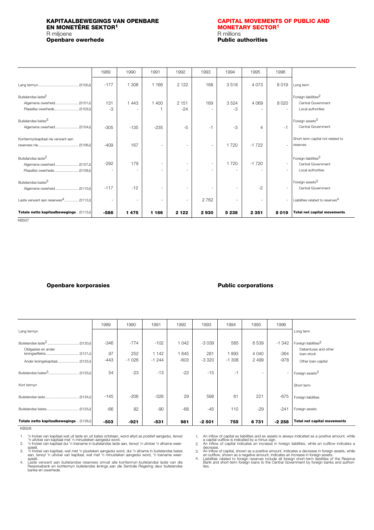### <span id="page-7-0"></span>**KAPITAALBEWEGINGS VAN OPENBARE [CAPITAL MOVEMENTS OF PUBLIC AND](#page-8-0) EN MONETÊRE SEKTOR1 MONETARY SECTOR1** R miljoene **R** millions **Constanting Constanting Constanting Constanting Constanting R millions <b>Constanting Constanting Constanting Constanting Constanting Constanting Constanting Constanting Constanting Constanting Const Openbare owerhede**

|                                                                                            | 1989                               | 1990      | 1991                          | 1992              | 1993                     | 1994                             | 1995                                | 1996             |                                                                                    |
|--------------------------------------------------------------------------------------------|------------------------------------|-----------|-------------------------------|-------------------|--------------------------|----------------------------------|-------------------------------------|------------------|------------------------------------------------------------------------------------|
|                                                                                            | $-177$                             | 1 3 0 8   | 1 1 6 6                       | 2 1 2 2           | 168                      | 3518                             | 4 0 7 3                             | 8019             | Long term                                                                          |
| Buitelandse laste <sup>2</sup><br>Plaaslike owerhede (5103J)                               | 131<br>$-3$                        | 1 4 4 3   | 1 400                         | 2 1 5 1<br>$-24$  | 169<br>٠                 | 3524<br>$-3$                     | 4 0 6 9                             | 8020<br>$\sim$   | Foreign liabilities <sup>2</sup><br>Central Government<br>Local authorities        |
| Buitelandse bates <sup>3</sup>                                                             | $-305$                             | $-135$    | $-235$                        | $-5$              | $-1$                     | -3                               | $\overline{4}$                      | $-1$             | Foreign assets <sup>3</sup><br>Central Government                                  |
| Korttermynkapitaal nie verwant aan                                                         | $-409$                             | 167       | ٠                             | ٠                 | ٠                        | 1720                             | $-1722$                             | ٠                | Short-term capital not related to<br>reserves                                      |
| Buitelandse laste <sup>2</sup>                                                             | $-292$                             | 179       | $\overline{\phantom{a}}$<br>- | ٠<br>۰            | ٠<br>٠                   | 1720<br>$\overline{\phantom{a}}$ | $-1720$                             | $\sim$<br>$\sim$ | Foreign liabilities <sup>2</sup><br>Central Government<br>Local authorities        |
| Buitelandse bates <sup>3</sup>                                                             | $-117$                             | $-12$     | ٠                             | ۰                 | $\overline{\phantom{a}}$ | $\sim$                           | $-2$                                |                  | Foreign assets <sup>3</sup><br>Central Government                                  |
| Laste verwant aan reserwes <sup>4</sup> (5112J)<br>Totale netto kapitaalbewegings  (5113J) | $\overline{\phantom{a}}$<br>$-586$ | ٠<br>1475 | ۰<br>1 166                    | $\sim$<br>2 1 2 2 | 2 7 6 2<br>2930          | $\sim$<br>5 2 3 8                | $\overline{\phantom{a}}$<br>2 3 5 1 | $\sim$<br>8019   | Liabilities related to reserves <sup>4</sup><br><b>Total net capital movements</b> |

KB507

### **Openbare korporasies Public corporations**

|                                           | 1989   | 1990    | 1991    | 1992    | 1993    | 1994     | 1995                     | 1996                     |                                          |
|-------------------------------------------|--------|---------|---------|---------|---------|----------|--------------------------|--------------------------|------------------------------------------|
| Lang termyn                               |        |         |         |         |         |          |                          |                          | Long term                                |
|                                           | $-346$ | $-774$  | $-102$  | 1 0 4 2 | $-3039$ | 585      | 6539                     | $-1342$                  | Foreign liabilities <sup>2</sup>         |
| Obligasies en ander                       | 97     | 252     | 1 142   | 1 6 4 5 | 281     | 893      | 4 0 4 0                  | $-364$                   | Debentures and other<br>loan-stock       |
| Ander leningskapitaal (5122J)             | $-443$ | $-1026$ | $-1244$ | $-603$  | $-3320$ | $-1.308$ | 2 4 9 9                  | $-978$                   | Other loan-capital                       |
| Buitelandse bates <sup>3</sup><br>(5123J) | 54     | $-23$   | $-13$   | $-22$   | $-15$   | -1       | $\overline{\phantom{a}}$ | $\overline{\phantom{a}}$ | <sup>1</sup> Foreign assets <sup>3</sup> |
| Kort termyn                               |        |         |         |         |         |          |                          |                          | Short term                               |
|                                           | $-145$ | $-206$  | $-326$  | 29      | 598     | 61       | 221                      | $-675$                   | Foreign liabilities                      |
|                                           | $-66$  | 82      | $-90$   | $-68$   | $-45$   | 110      | $-29$                    | $-241$                   | Foreign assets                           |
| Totale netto kapitaalbewegings  (5126J)   | -503   | $-921$  | $-531$  | 981     | $-2501$ | 755      | 6731                     | $-2258$                  | <b>Total net capital movements</b>       |

#### KB508

'n Invloei van kapitaal wat uit laste en uit bates ontstaan, word altyd as positief aangedui, terwyl<br>'n uitvloei van kapitaal met 'n minusteken aangedui word.<br>'n Invloei van kapitaal dui 'n toename in buitelandse laste aan 1.

2.

spieël.<br>'n Invloei van kapitaal, wat met 'n plusteken aangedui word, dui 'n afname in buitelandse bates<br>aan, terwyl 'n uitvloei van kapitaal, wat met 'n minusteken aangedui word, 'n toename weer-<br>spieël.<br>Reserwebank en kor 3.

4.

An inflow of capital ex liabilities and ex assets is always indicated as a positive amount, while<br>a capital outflow is indicated by a minus sign.<br>An inflow of capital indicates an increase in foreign liabilities, while an 1.

2.

3.

decrease.<br>An inflow of capital, shown as a positive amount, indicates a decrease in foreign assets, while<br>An outflow, shown as a negative amount, indicates an increase in foreign assets.<br>Liabilities related to foreign rese 4.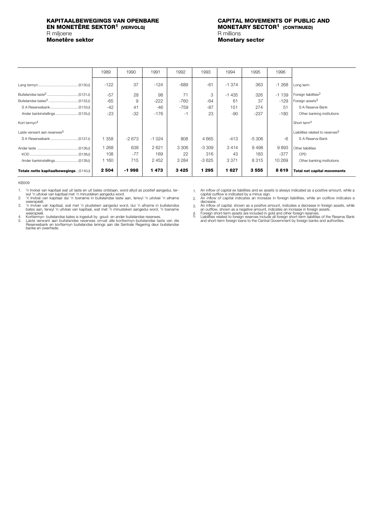## **EN MONETÊRE SEKTOR<sup>1</sup> (VERVOLG)<br>R miljoene <b>B**<br>**R** millions R miljoene<br>**Monetêre sektor**

# <span id="page-8-0"></span>**KAPITAALBEWEGINGS VAN OPENBARE CAPITAL MOVEMENTS OF PUBLIC AND**

**Monetary sector** 

|                                         | 1989    | 1990    | 1991    | 1992    | 1993    | 1994    | 1995    | 1996    |                                              |
|-----------------------------------------|---------|---------|---------|---------|---------|---------|---------|---------|----------------------------------------------|
|                                         | $-122$  | 37      | $-124$  | $-689$  | $-61$   | $-1374$ | 363     | $-1268$ | Long term                                    |
|                                         | $-57$   | 28      | 98      | 71      | 3       | $-1435$ | 326     | $-1139$ | Foreign liabilities <sup>2</sup>             |
|                                         | $-65$   | 9       | $-222$  | $-760$  | $-64$   | 61      | 37      | $-129$  | Foreign assets <sup>3</sup>                  |
| S A Reserwebank  (5133J)                | $-42$   | 41      | $-46$   | $-759$  | $-87$   | 151     | 274     | 51      | S A Reserve Bank                             |
|                                         | $-23$   | $-32$   | $-176$  | $-1$    | 23      | $-90$   | $-237$  | $-180$  | Other banking institutions                   |
| Kort termyn <sup>4</sup>                |         |         |         |         |         |         |         |         | Short term <sup>4</sup>                      |
| Laste verwant aan reserwes <sup>5</sup> |         |         |         |         |         |         |         |         | Liabilities related to reserves <sup>5</sup> |
|                                         | 358     | $-2673$ | $-1024$ | 808     | 4 6 6 5 | $-413$  | $-5306$ | -6      | S A Reserve Bank                             |
|                                         | 1 2 6 8 | 638     | 2621    | 3 3 0 6 | $-3309$ | 3414    | 8498    | 9893    | Other liabilities                            |
|                                         | 108     | $-77$   | 169     | 22      | 316     | 43      | 183     | $-377$  | CPD                                          |
| Ander bankinstellings  (5139J)          | 1 1 6 0 | 715     | 2 4 5 2 | 3 2 8 4 | $-3625$ | 3 3 7 1 | 8315    | 10 269  | Other banking institutions                   |
| Totale netto kapitaalbewegings (5140J)  | 2 5 0 4 | -1998   | 1473    | 3425    | 1 2 9 5 | 1627    | 3555    | 8619    | <b>Total net capital movements</b>           |

#### KB509

1.

2.

'n Invloei van kapitaal wat uit laste en uit bates ontstaan, word altyd as positief aangedui, ter-<br>'wyl 'n uitvloei van kapitaal met 'n minusteken aangedui word.<br>'n Invloei van kapitaal dui 'n toename in buitelandse laste 3.

4. 5.

Korttermyn- buitelandse bates is ingesluit by goud- en ander buitelandse reserwes.<br>Laste verwant aan buitelandse reserwes omvat alle korttermyn-buitelandse laste van die<br>Reserwebank en korttermyn buitelandse

1.

An inflow of capital ex liabilities and ex assets is always indicated as a positive amount, while a<br>capital outflow is indicated by a minus sign.<br>An inflow of capital indicates an increase in foreign liabilities, while an 2.

3. 4. 5.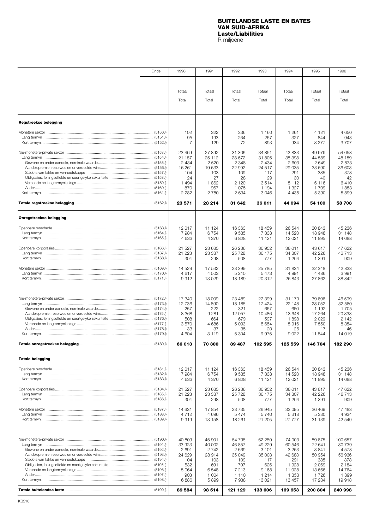### **BUITELANDSE LASTE EN BATES VAN SUID-AFRIKA Laste/Liabilities**

R miljoene

<span id="page-9-0"></span>

|                              | Einde | 1990              | 1991              | 1992              | 1993               | 1994               | 1995              | 1996              |
|------------------------------|-------|-------------------|-------------------|-------------------|--------------------|--------------------|-------------------|-------------------|
|                              |       |                   |                   |                   |                    |                    |                   |                   |
|                              |       |                   |                   |                   |                    |                    |                   |                   |
|                              |       | Totaal            | Totaal            | Totaal            | Totaal             | Totaal             | Totaal            | Totaal            |
|                              |       | Total             | Total             | Total             | Total              | Total              | Total             | Total             |
|                              |       |                   |                   |                   |                    |                    |                   |                   |
| <b>Regstreekse belegging</b> |       |                   |                   |                   |                    |                    |                   |                   |
|                              |       | 102               | 322               | 336               | 1 160              | 1 2 6 1            | 4 1 2 1           | 4650              |
|                              |       | 95                | 193               | 264               | 267                | 327                | 844               | 943               |
|                              |       | 7                 | 129               | 72                | 893                | 934                | 3 2 7 7           | 3707              |
|                              |       | 23 4 69           | 27892             | 31 306            | 34 851             | 42 833             | 49 979            | 54 058            |
|                              |       | 21 187            | 25 112            | 28 672            | 31 805             | 38 398             | 44 589            | 48 159            |
|                              |       | 2 4 3 4<br>16 261 | 2 5 2 0<br>19 633 | 2 3 4 8<br>22 992 | 2 4 3 4<br>24 517  | 2 603<br>29 0 35   | 2649<br>33 690    | 2873<br>36 603    |
|                              |       | 104               | 103               | 109               | 117                | 291                | 385               | 378               |
|                              |       | 24                | 27                | 28                | 29                 | 30                 | 40                | 42                |
|                              |       | 1494              | 1862              | 2 1 2 0           | 3514               | 5 1 1 2            | 6 1 1 6           | 6410              |
| (5161J) (6161J)              |       | 870<br>2 2 8 2    | 967<br>2780       | 1075<br>2 6 3 4   | 1 1 9 4<br>3 0 4 6 | 1 3 2 7<br>4 4 3 5 | 1709<br>5 3 9 0   | 1853<br>5899      |
|                              |       | 23 571            | 28 214            | 31 642            | 36 011             | 44 094             | 54 100            | 58708             |
|                              |       |                   |                   |                   |                    |                    |                   |                   |
| Onregstreekse belegging      |       |                   |                   |                   |                    |                    |                   |                   |
|                              |       | 12 617            | 11 124            | 16 363            | 18 459             | 26 544             | 30 843            | 45 236            |
|                              |       | 7984              | 6754              | 9535              | 7 3 3 8            | 14 523             | 18948             | 31 148            |
|                              |       | 4 6 3 3           | 4 3 7 0           | 6828              | 11 121             | 12 021             | 11 895            | 14 088            |
|                              |       | 21 527            | 23 635            | 26 236            | 30 952             | 36 011             | 43 617            | 47 622            |
|                              |       | 21 2 23<br>304    | 23 337<br>298     | 25 7 28<br>508    | 30 175<br>777      | 34 807<br>1 204    | 42 226<br>1 3 9 1 | 46713<br>909      |
|                              |       | 14 5 29           | 17 532            | 23 399            | 25 7 85            | 31 834             | 32 348            | 42 833            |
|                              |       | 4617              | 4 503             | 5 2 1 0           | 5 4 7 3            | 4 9 9 1            | 4 4 8 6           | 3991              |
|                              |       | 9912              | 13 0 29           | 18 189            | 20 312             | 26 843             | 27 862            | 38 842            |
|                              |       | 17 340            | 18 009            | 23 489            | 27 399             | 31 170             | 39 896            | 46 599            |
|                              |       | 12 736            | 14 890            | 18 185            | 17 4 24            | 22 148             | 28 052            | 32 580            |
|                              |       | 257               | 222               | 321               | 667                | 660                | 1 1 9 2           | 1705              |
|                              |       | 8 3 6 8<br>508    | 9 2 8 1<br>664    | 12 057<br>679     | 10486<br>597       | 13 648<br>1898     | 17 264<br>2 0 2 9 | 20 333<br>2 1 4 2 |
|                              |       | 3570              | 4 686             | 5 0 9 3           | 5 6 5 4            | 5916               | 7 5 5 0           | 8 3 5 4           |
|                              |       | 33                | 37                | 35                | 20                 | 26                 | 17                | 46                |
|                              |       | 4 604             | 3 1 1 9           | 5 3 0 4           | 9975               | 9022<br>125 559    | 11 844<br>146 704 | 14019             |
|                              |       | 66 013            | 70 300            | 89 487            | 102 595            |                    |                   | 182 290           |
| <b>Totale belegging</b>      |       |                   |                   |                   |                    |                    |                   |                   |
|                              |       | 12 617            | 11 124            | 16 363            | 18 459             | 26 544             | 30843             | 45 236            |
|                              |       | 7984<br>4 6 3 3   | 6754<br>4 3 7 0   | 9535<br>6828      | 7 3 3 8<br>11 121  | 14 523<br>12 021   | 18 948<br>11 895  | 31 148<br>14 088  |
|                              |       |                   |                   |                   |                    |                    |                   |                   |
|                              |       | 21 5 27           | 23 635            | 26 236            | 30 952             | 36 011             | 43 617            | 47 622            |
|                              |       | 21 2 23<br>304    | 23 337<br>298     | 25 7 28<br>508    | 30 175<br>777      | 34 807<br>1 204    | 42 226<br>1 391   | 46713<br>909      |
|                              |       | 14 631            | 17854             | 23735             | 26 945             | 33 095             | 36 469            | 47 483            |
|                              |       | 4712              | 4 6 9 6           | 5474              | 5740               | 5318               | 5 3 3 0           | 4 9 3 4           |
|                              |       | 9919              | 13 158            | 18 261            | 21 205             | 27 777             | 31 139            | 42 549            |
|                              |       |                   |                   |                   |                    |                    |                   |                   |
| (5191) (5191)                |       | 40 809<br>33 923  | 45 901<br>40 002  | 54 795<br>46 857  | 62 250<br>49 229   | 74 003<br>60 546   | 89 875<br>72 641  | 100 657<br>80 739 |
|                              |       | 2691              | 2742              | 2669              | 3 1 0 1            | 3 2 6 3            | 3841              | 4578              |
|                              |       | 24 629            | 28914             | 35 049            | 35 003             | 42 683             | 50 954            | 56 936            |
|                              |       | 104<br>532        | 103<br>691        | 109<br>707        | 117<br>626         | 291<br>1928        | 385<br>2 0 6 9    | 378<br>2 1 8 4    |
|                              |       | 5 0 6 4           | 6548              | 7 2 1 3           | 9 1 6 8            | 11 0 28            | 13 666            | 14 7 64           |
| (5197J) (6197J)              |       | 903               | 1 0 0 4           | 1 1 1 0           | 1 2 1 4            | 1 353              | 1726              | 1899              |
|                              |       | 6886              | 5899              | 7938              | 13 0 21            | 13 457             | 17 234            | 19918             |
|                              |       | 89 584            | 98 514            | 121 129           | 138 606            | 169 653            | 200 804           | 240 998           |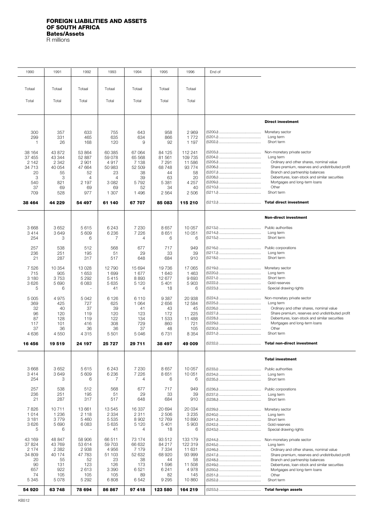#### <span id="page-10-0"></span>**FOREIGN LIABILITIES AND ASSETS OF SOUTH AFRICA Bates/Assets**

R millions

| 1990             | 1991             | 1992               | 1993                 | 1994              | 1995             | 1996               | End of |                                                                                     |
|------------------|------------------|--------------------|----------------------|-------------------|------------------|--------------------|--------|-------------------------------------------------------------------------------------|
|                  |                  |                    |                      |                   |                  |                    |        |                                                                                     |
| Totaal           | Totaal           | Totaal             | Totaal               | Totaal            | Totaal           | Totaal             |        |                                                                                     |
|                  |                  |                    |                      |                   |                  |                    |        |                                                                                     |
| Total            | Total            | Total              | Total                | Total             | Total            | Total              |        |                                                                                     |
|                  |                  |                    |                      |                   |                  |                    |        |                                                                                     |
|                  |                  |                    |                      |                   |                  |                    |        | <b>Direct investment</b>                                                            |
| 300              | 357              | 633                | 755                  | 643               | 958              | 2 9 6 9            |        | Monetary sector                                                                     |
| 299<br>1         | 331<br>26        | 465<br>168         | 635<br>120           | 634<br>9          | 866<br>92        | 1772<br>1 197      |        | Long term<br>Short term                                                             |
|                  |                  |                    |                      |                   |                  |                    |        |                                                                                     |
| 38 164<br>37 455 | 43 872<br>43 344 | 53 864<br>52 887   | 60 385<br>59 078     | 67 064<br>65 5 68 | 84 125<br>81 561 | 112 241<br>109 735 |        | Non-monetary private sector<br>Long term                                            |
| 2 142            | 2 3 4 2          | 2 9 0 1            | 4917                 | 7 1 3 8           | 7 2 9 1          | 11 586             |        | Ordinary and other shares, nominal value                                            |
| 34 713           | 40 054           | 47 664             | 50 983               | 52 509            | 68748<br>44      | 93 774             |        | Share premium, reserves and undistributed profit<br>Branch and partnership balances |
| 20<br>3          | 55<br>3          | 52<br>4            | 23<br>$\overline{4}$ | 38<br>39          | 63               | 58<br>20           |        | Debentures, loan-stock and similar securities                                       |
| 540              | 821              | 2 197              | 3082                 | 5792              | 5 3 8 1          | 4 2 5 7            |        | Mortgages and long-term loans                                                       |
| 37<br>709        | 69<br>528        | 69<br>977          | 69<br>1 307          | 52<br>1496        | 34<br>2 5 6 4    | 40<br>2506         |        | Other<br>Short term                                                                 |
|                  |                  |                    |                      |                   |                  |                    |        |                                                                                     |
| 38 4 64          | 44 229           | 54 497             | 61 140               | 67 707            | 85 083           | 115 210            |        | <b>Total direct investment</b>                                                      |
|                  |                  |                    |                      |                   |                  |                    |        | Non-direct investment                                                               |
| 3 6 6 8          | 3652             | 5615               | 6243                 | 7 2 3 0           | 8657             | 10 057             |        | Public authorities                                                                  |
| 3414             | 3649             | 5 609              | 6 2 3 6              | 7 2 2 6           | 8651             | 10 051             |        | Long term                                                                           |
| 254              | 3                | 6                  | 7                    | 4                 | 6                | 6                  |        | Short term                                                                          |
| 257              | 538              | 512                | 568                  | 677               | 717              | 949                |        | Public corporations                                                                 |
| 236              | 251              | 195                | 51                   | 29                | 33               | 39                 |        | Long term                                                                           |
| 21               | 287              | 317                | 517                  | 648               | 684              | 910                |        | Short term                                                                          |
| 7526             | 10 354           | 13028              | 12 790               | 15 694            | 19736            | 17 065             |        | Monetary sector                                                                     |
| 715<br>3 1 8 0   | 905<br>3753      | 1 6 5 3<br>5 2 9 2 | 1 6 9 9<br>5415      | 1677<br>8893      | 1 640<br>12 677  | 1 4 6 3<br>9693    |        | Long term<br>Short term                                                             |
| 3626             | 5 6 9 0          | 6 0 8 3            | 5 6 3 5              | 5 1 2 0           | 5 4 0 1          | 5903               |        | Gold reserves                                                                       |
| 5                | 6                |                    | 41                   | 4                 | 18               | 6                  |        | Special drawing rights                                                              |
| 5 0 0 5          | 4975             | 5042               | 6 1 2 6              | 6 1 1 0           | 9 3 8 7          | 20 938             |        | Non-monetary private sector                                                         |
| 369              | 425<br>40        | 727                | 625                  | 1 0 6 4<br>41     | 2656             | 12 5 84<br>45      |        | Long term<br>Ordinary and other shares, nominal value                               |
| 32<br>96         | 120              | 37<br>119          | 39<br>120            | 123               | 43<br>172        | 225                |        | Share premium, reserves and undistributed profit                                    |
| 87               | 128              | 119                | 122                  | 134               | 1 5 3 3          | 11 488             |        | Debentures, loan-stock and similar securities                                       |
| 117<br>37        | 101<br>36        | 416<br>36          | 308<br>36            | 729<br>37         | 860<br>48        | 721<br>105         |        | Mortgages and long-term loans<br>Other                                              |
| 4636             | 4550             | 4 3 1 5            | 5 5 0 1              | 5 0 4 6           | 6731             | 8 3 5 4            |        | Short term                                                                          |
| 16 456           | 19519            | 24 197             | 25 7 27              | 29 711            | 38 497           | 49 009             |        | <b>Total non-direct investment</b>                                                  |
|                  |                  |                    |                      |                   |                  |                    |        |                                                                                     |
|                  |                  |                    |                      |                   |                  |                    |        | <b>Total investment</b>                                                             |
| 3 6 6 8          | 3 6 5 2          | 5615               | 6 2 4 3              | 7 2 3 0           | 8657             | 10 057             |        | Public authorities                                                                  |
| 3414<br>254      | 3649<br>3        | 5 609<br>6         | 6236<br>7            | 7 2 2 6<br>4      | 8651<br>6        | 10 051<br>6        |        | Long term<br>Short term                                                             |
|                  |                  |                    |                      |                   |                  |                    |        |                                                                                     |
| 257<br>236       | 538<br>251       | 512<br>195         | 568<br>51            | 677<br>29         | 717<br>33        | 949<br>39          |        | Public corporations<br>Long term                                                    |
| 21               | 287              | 317                | 517                  | 648               | 684              | 910                |        | Short term                                                                          |
| 7826             | 10711            | 13 661             | 13545                | 16 337            | 20 694           | 20 0 34            |        | Monetary sector                                                                     |
| 1014             | 1 2 3 6          | 2 1 1 8            | 2 3 3 4              | 2 3 1 1           | 2 506            | 3 2 3 5            |        | Long term                                                                           |
| 3 1 8 1          | 3779             | 5 4 6 0            | 5 5 3 5              | 8 9 0 2           | 12769            | 10890              |        | Short term                                                                          |
| 3626<br>5        | 5 6 9 0<br>6     | 6083               | 5 6 3 5<br>41        | 5 1 2 0<br>4      | 5 4 0 1<br>18    | 5903<br>6          |        | Gold reserves<br>Special drawing rights                                             |
|                  |                  |                    |                      |                   |                  |                    |        |                                                                                     |
| 43 169<br>37 824 | 48 847<br>43 769 | 58 906<br>53 614   | 66 511<br>59 703     | 73 174<br>66 632  | 93 512<br>84 217 | 133 179<br>122 319 |        | Non-monetary private sector<br>Long term                                            |
| 2 1 7 4          | 2 3 8 2          | 2938               | 4 9 5 6              | 7 1 7 9           | 7 3 3 4          | 11 631             |        | Ordinary and other shares, nominal value                                            |
| 34 809           | 40 174           | 47 783             | 51 103               | 52 632            | 68 920           | 93 999             |        | Share premium, reserves and undistributed profit                                    |
| 20<br>90         | 55<br>131        | 52<br>123          | 23<br>126            | 38<br>173         | 44<br>1596       | 58<br>11 508       |        | Branch and partnership balances<br>Debentures, loan-stock and similar securities    |
| 657              | 922              | 2613               | 3 3 9 0              | 6521              | 6 2 4 1          | 4978               |        | Mortgages and long-term loans                                                       |
| 74<br>5 3 4 5    | 105<br>5078      | 105<br>5 2 9 2     | 105<br>6808          | 89<br>6 542       | 82<br>9 2 9 5    | 145<br>10860       |        | Other<br>Short term                                                                 |
| 54 920           | 63 748           | 78 694             | 86 867               | 97 418            | 123 580          | 164 219            |        | <b>Total foreign assets</b>                                                         |
|                  |                  |                    |                      |                   |                  |                    |        |                                                                                     |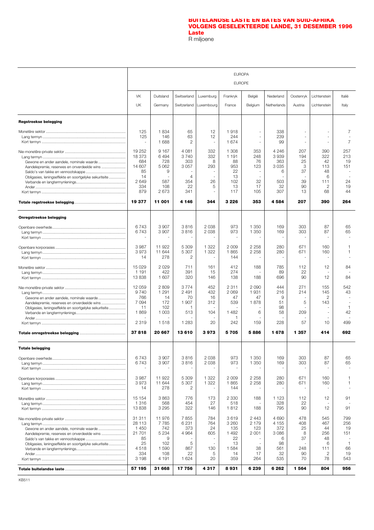#### **BUITELANDSE LASTE EN BATES VAN SUID-AFRIKA [VOLGENS GESELEKTEERDE LANDE, 31 DESEMBER 1996](#page-12-0) Laste** R miljoene

<span id="page-11-0"></span>

|                                                                                                                                                  | <b>EUROPA</b>                                                               |                                                                                |                                                                      |                                                     |                                                                    |                                                      |                                                                  |                                                |                                                      |                                                            |  |  |
|--------------------------------------------------------------------------------------------------------------------------------------------------|-----------------------------------------------------------------------------|--------------------------------------------------------------------------------|----------------------------------------------------------------------|-----------------------------------------------------|--------------------------------------------------------------------|------------------------------------------------------|------------------------------------------------------------------|------------------------------------------------|------------------------------------------------------|------------------------------------------------------------|--|--|
|                                                                                                                                                  |                                                                             |                                                                                |                                                                      |                                                     | <b>EUROPE</b>                                                      |                                                      |                                                                  |                                                |                                                      |                                                            |  |  |
|                                                                                                                                                  | <b>VK</b><br>UK                                                             | Duitsland<br>Germany                                                           | Switserland<br>Switzerland                                           | Luxemburg<br>Luxembourg                             | Frankryk<br>France                                                 | België<br>Belgium                                    | Nederland<br>Netherlands                                         | Oostenryk<br>Austria                           | Lichtenstein<br>Lichtenstein                         | Italië<br>Italy                                            |  |  |
| <b>Regstreekse belegging</b>                                                                                                                     |                                                                             |                                                                                |                                                                      |                                                     |                                                                    |                                                      |                                                                  |                                                |                                                      |                                                            |  |  |
|                                                                                                                                                  | 125<br>125<br>$\sim$                                                        | 1834<br>146<br>1688                                                            | 65<br>63<br>2                                                        | 12<br>12<br>$\overline{\phantom{a}}$                | 1918<br>244<br>1674                                                | ÷.                                                   | 338<br>239<br>99                                                 |                                                |                                                      | 7<br>7                                                     |  |  |
| Aandelepremie, reserwes en onverdeelde wins<br>Obligasies, leningseffekte en soortgelyke sekuriteite                                             | 19 252<br>18 373<br>684<br>14 607<br>85<br>14<br>2649<br>334<br>879         | 9 1 6 7<br>6494<br>728<br>5 0 6 2<br>9<br>$\overline{a}$<br>587<br>108<br>2673 | 4 0 8 1<br>3740<br>303<br>3057<br>$\overline{4}$<br>354<br>22<br>341 | 332<br>332<br>8<br>293<br>26<br>5<br>$\overline{a}$ | 1 308<br>1 1 9 1<br>88<br>953<br>22<br>13<br>102<br>13<br>117      | 353<br>248<br>76<br>123<br>32<br>17<br>105           | 4 2 4 6<br>3939<br>363<br>3 0 3 5<br>6<br>503<br>32<br>307       | 207<br>194<br>25<br>3<br>37<br>39<br>90<br>13  | 390<br>322<br>42<br>113<br>48<br>6<br>111<br>2<br>68 | 257<br>213<br>19<br>151<br>24<br>19<br>44                  |  |  |
|                                                                                                                                                  | 19 377                                                                      | 11 001                                                                         | 4 1 4 6                                                              | 344                                                 | 3 2 2 6                                                            | 353                                                  | 4584                                                             | 207                                            | 390                                                  | 264                                                        |  |  |
| <b>Onregstreekse belegging</b>                                                                                                                   |                                                                             |                                                                                |                                                                      |                                                     |                                                                    |                                                      |                                                                  |                                                |                                                      |                                                            |  |  |
|                                                                                                                                                  | 6743<br>6743<br>÷,                                                          | 3 9 0 7<br>3 907<br>÷,                                                         | 3816<br>3816<br>٠                                                    | 2 0 3 8<br>2038<br>$\sim$                           | 973<br>973<br>$\blacksquare$                                       | 1 3 5 0<br>1 350                                     | 169<br>169                                                       | 303<br>303<br>$\ddot{\phantom{1}}$             | 87<br>87                                             | 65<br>65                                                   |  |  |
|                                                                                                                                                  | 3987<br>3973<br>14                                                          | 11 922<br>11 644<br>278                                                        | 5 3 0 9<br>5 3 0 7<br>2                                              | 1 3 2 2<br>1 3 2 2                                  | 2 0 0 9<br>1865<br>144                                             | 2 2 5 8<br>2 2 5 8                                   | 280<br>280                                                       | 671<br>671                                     | 160<br>160                                           | 1<br>1                                                     |  |  |
|                                                                                                                                                  | 15 0 29<br>1 1 9 1<br>13838                                                 | 2 0 2 9<br>422<br>1 607                                                        | 711<br>391<br>320                                                    | 161<br>15<br>146                                    | 412<br>274<br>138                                                  | 188<br>188                                           | 785<br>89<br>696                                                 | 112<br>22<br>90                                | 12<br>12                                             | 84<br>84                                                   |  |  |
| Aandelepremie, reserwes en onverdeelde wins<br>Obligasies, leningseffekte en soortgelyke sekuriteite                                             | 12 059<br>9 7 4 0<br>766<br>7094<br>11<br>1869                              | 2809<br>1 2 9 1<br>14<br>172<br>102<br>1 0 0 3                                 | 3774<br>2 4 9 1<br>70<br>1 907<br>-1<br>513                          | 452<br>432<br>16<br>312<br>104                      | 2 3 1 1<br>2069<br>47<br>539<br>1 4 8 2                            | 2 0 9 0<br>1931<br>47<br>1878<br>6                   | 444<br>216<br>9<br>51<br>98<br>58                                | 271<br>214<br>5<br>209                         | 155<br>145<br>2<br>143<br>$\sim$                     | 542<br>43<br>$\mathbf{1}$<br>42                            |  |  |
|                                                                                                                                                  | 2 3 1 9                                                                     | 1518                                                                           | 1 2 8 3                                                              | 20                                                  | 242                                                                | 159                                                  | 228                                                              | 57                                             | 10                                                   | 499                                                        |  |  |
|                                                                                                                                                  | 37818                                                                       | 20 667                                                                         | 13610                                                                | 3973                                                | 5705                                                               | 5886                                                 | 1678                                                             | 1 3 5 7                                        | 414                                                  | 692                                                        |  |  |
| <b>Totale belegging</b>                                                                                                                          |                                                                             |                                                                                |                                                                      |                                                     |                                                                    |                                                      |                                                                  |                                                |                                                      |                                                            |  |  |
|                                                                                                                                                  | 6743<br>6743                                                                | 3 9 0 7<br>3 9 0 7                                                             | 3816<br>3816                                                         | 2 0 3 8<br>2 0 3 8                                  | 973<br>973                                                         | 1 350<br>1 350                                       | 169<br>169                                                       | 303<br>303                                     | 87<br>87                                             | 65<br>65                                                   |  |  |
|                                                                                                                                                  | 3987<br>3973<br>14                                                          | 11 922<br>11 644<br>278                                                        | 5 3 0 9<br>5 3 0 7<br>2                                              | 1 3 2 2<br>1 3 2 2<br>÷.                            | 2 0 0 9<br>1865<br>144                                             | 2 2 5 8<br>2 2 5 8                                   | 280<br>280                                                       | 671<br>671                                     | 160<br>160                                           | 1<br>1                                                     |  |  |
|                                                                                                                                                  | 15 154<br>1 3 1 6<br>13838                                                  | 3863<br>568<br>3 2 9 5                                                         | 776<br>454<br>322                                                    | 173<br>27<br>146                                    | 2 3 3 0<br>518<br>1812                                             | 188<br>188                                           | 1 1 2 3<br>328<br>795                                            | 112<br>22<br>90                                | 12<br>12                                             | 91<br>91                                                   |  |  |
| Gewone en ander aandele, nominale waarde<br>Aandelepremie, reserwes en onverdeelde wins<br>Obligasies, leningseffekte en soortgelyke sekuriteite | 31 311<br>28 113<br>1 4 5 0<br>21 701<br>85<br>25<br>4518<br>334<br>3 1 9 8 | 11976<br>7785<br>742<br>5 2 3 4<br>9<br>102<br>1590<br>108<br>4 191            | 7855<br>6 2 3 1<br>373<br>4 9 64<br>5<br>867<br>22<br>1 6 2 4        | 784<br>764<br>24<br>605<br>130<br>5<br>20           | 3619<br>3 2 6 0<br>135<br>1 4 9 2<br>22<br>13<br>1584<br>14<br>359 | 2443<br>2 1 7 9<br>123<br>2 0 0 1<br>38<br>17<br>264 | 4690<br>4 1 5 5<br>372<br>3 0 8 6<br>6<br>98<br>561<br>32<br>535 | 478<br>408<br>25<br>8<br>37<br>248<br>90<br>70 | 545<br>467<br>44<br>256<br>48<br>6<br>111<br>2<br>78 | 799<br>256<br>19<br>151<br>$\mathbf{1}$<br>66<br>19<br>543 |  |  |
|                                                                                                                                                  | 57 195                                                                      | 31 668                                                                         | 17 756                                                               | 4317                                                | 8931                                                               | 6 239                                                | 6 2 6 2                                                          | 1564                                           | 804                                                  | 956                                                        |  |  |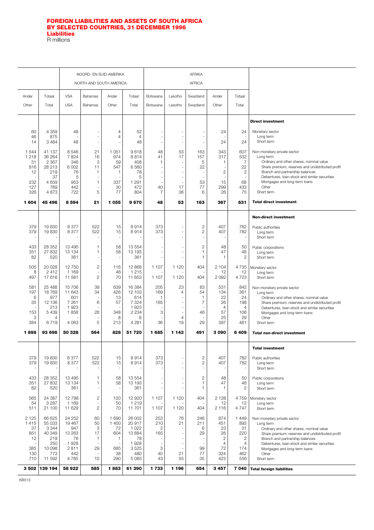#### <span id="page-12-0"></span>**[FOREIGN LIABILITIES AND ASSETS OF SOUTH AFRICA](#page-13-0) BY SELECTED COUNTRIES, 31 DECEMBER 1996 Liabilities** R millions

**Direct investment** Monetary sector Long term Short term Non-monetary private sector Long term Ordinary and other shares, nominal value Share premium, reserves and undistributed profit Branch and partnership balances Debentures, loan-stock and similar securities Mortgages and long-term loans Other Short term **Total direct investment Non-direct investment** Public authorities Long term Short term Public corporations Long term Short term Monetary sector Long term Short term Non-monetary private sector Long term Ordinary and other shares, nominal value Share premium, reserves and undistributed profit Debentures, loan-stock and similar securities Mortgages and long-term loans **Other** Short term **Total non-direct investment Total investment** Public authorities Long term Short term Public corporations Long term Short term Monetary sector Long term Short term Non-monetary private sector Long term Ordinary and other shares, nominal value Share premium, reserves and undistributed profit Branch and partnership balances Debentures, loan-stock and similar securities Mortgages and long-term loans **Other** Short term **Total foreign liabilities** NOORD- EN SUID-AMERIKA **AFRIKA** NORTH AND SOUTH AMERICA **AFRICA** Ander | Totaal | VSA | Bahamas | Ander | Totaal | Botswana | Lesotho | Swaziland | Ander | Totaal Other | Total | USA | Bahamas | Other | Total | Botswana | Lesotho | Swaziland | Other | Total 60 4 359 48 - 4 52 - - - 24 24 46 875 - - 4 4 - - - - - 14 3 484 48 - 148 - 1 - 1 24 24 1 544 | 41 137 | 8 546 | 21 | 1051 | 9 618 | 48 | 53 | 163 | 343 | 607 1 218 36 264 7 824 16 974 8 814 41 17 157 317 532 31 | 2 367 | 346 | 3 | 59 | 408 | 1 | - | 5 | 1 | 7 816 | 28 213 | 6002 | 11 | 547 | 6560 | - | - | 22 | - | 22 12 219 76 1 1 78 - - - 2 2 - | 37 | 5 | - | - | 5 | - | - | - | - | -232 | 4 659 | 953 | 1 | 337 | 1 291 | - | - | 53 | 15 | 68 127 769 442 - 30 472 40 17 77 299 433 326 4 873 722 5 77 804 7 36 6 26 75 **1 604 45 496 8 594 21 1 055 9 670 48 53 163 367 631** 379 | 19 830 | 8 377 | 522 | 15 | 8 914 | 373 | - | 2 | 407 | 782 379 | 19 830 | 8 377 | 522 | 15 | 8 914 | 373 | - | 2 | 407 | 782 - - - - - - - - - - - 433 | 28 352 | 13 495 | 1 | 58 | 13 554 | - | 2 | 48 | 50 351 27 832 13 134 1 58 13 193 - - 1 47 48 82 | 520 | 361 | - | - | 361 | - | - | 1 | 1 | 2 505 20 028 12 750 2 116 12 868 1 107 1 120 404 2 104 4 735 8 2 412 1 169 - 46 1 215 - - - 12 12 497 | 17 616 | 11 581 | 2 | 70 | 11 653 | 1 107 | 1 120 | 404 | 2 092 | 4 723 581 25 488 15 706 39 639 16 384 205 23 83 531 842 197 18 769 11 643 34 426 12 103 169 4 54 134 361 6 | 977 | 601 | - | 13 | 614 | 1 | - | 1 | 22 | 24 35 12 136 7 261 6 57 7 324 165 - 7 26 198 - | 213 | 1 923 | - | - | 1 923 | - | - | - | - | 4 | - 4 153 | 5 439 | 1 858 | 28 | 348 | 2 234 | 3 | - | 46 | 57 | 106 3 4 - - 8 8 8 - 4 - 25 29 384 6 719 4 063 5 213 4 281 36 19 29 397 481 **1 898 93 698 50 328 564 828 51 720 1 685 1 143 491 3 090 6 409** 379 | 19 830 | 8 377 | 522 | 15 | 8 914 | 373 | - | 2 | 407 | 782 379 | 19 830 | 8 377 | 522 | 15 | 8 914 | 373 | - | 2 | 407 | 782 - - - - - - - - - - - 433 | 28 352 | 13 495 | 1 | 58 | 13 554 | - | 2 | 48 | 50 351 27 832 13 134 1 58 13 193 - - 1 47 48 82 | 520 | 361 | - | - | 361 | - | - | 1 | 1 | 2 565 24 387 12 798 2 120 12 920 1 107 1 120 404 2 128 4 759 54 3 287 1 169 - 50 1 219 - - - 12 12 511 21 100 11 629 2 70 11 701 1 107 1 120 404 2 116 4 747 2 125 | 66 625 | 24 252 | 60 | 1 690 | 26 002 | 253 | 76 | 246 | 874 | 1 449 1 415 | 55 033 | 19 467 | 50 | 1 400 | 20 917 | 210 | 21 | 211 | 451 | 893 37 3 344 947 3 72 1 022 2 - 6 23 31 851 | 40 349 | 13 263 | 17 | 1604 | 13 884 | 165 | 167 | 29 | 26 | 220 12 219 76 1 1 78 - - - 2 2 - | 250 | 1 928 | - | - | 1 928 | - | - | - | - | 4 | - 4 385 10 098 2 811 29 685 3 525 3 - 99 72 174 130 773 442 - 38 480 40 21 77 324 462 710 | 11 592 | 4 785 | 10 | 290 | 5 085 | 43 | 55 | 35 | 423 | 556 **3 502 139 194 58 922 585 1 883 61 390 1 733 1 196 654 3 457 7 040**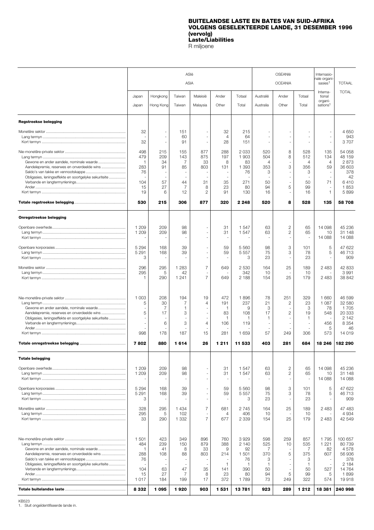#### **BUITELANDSE LASTE EN BATES VAN SUID-AFRIKA VOLGENS GESELEKTEERDE LANDE, 31 DESEMBER 1996 (vervolg) Laste/Liabilities** R miljoene

<span id="page-13-0"></span>

|                                                                                                                                                  |                                                                |                                            | ASIë<br><b>ASIA</b>                       |                                                              |                                                            |                                                               |                                                            | OSEANIë<br><b>OCEANIA</b>                                     |                                                      | Internasio-<br>nale organi-<br>sasies <sup>1</sup>    | <b>TOTAAL</b>                                                                     |
|--------------------------------------------------------------------------------------------------------------------------------------------------|----------------------------------------------------------------|--------------------------------------------|-------------------------------------------|--------------------------------------------------------------|------------------------------------------------------------|---------------------------------------------------------------|------------------------------------------------------------|---------------------------------------------------------------|------------------------------------------------------|-------------------------------------------------------|-----------------------------------------------------------------------------------|
|                                                                                                                                                  | Japan<br>Japan                                                 | Hongkong<br>Hong Kong                      | Taiwan<br>Taiwan                          | Maleisië<br>Malaysia                                         | Ander<br>Other                                             | Totaal<br>Total                                               | Australië<br>Australia                                     | Ander<br>Other                                                | Totaal<br>Total                                      | Interna-<br>tional<br>organi-<br>sations <sup>1</sup> | <b>TOTAL</b>                                                                      |
| <b>Regstreekse belegging</b>                                                                                                                     |                                                                |                                            |                                           |                                                              |                                                            |                                                               |                                                            |                                                               |                                                      |                                                       |                                                                                   |
|                                                                                                                                                  | 32<br>32                                                       | $\sim$                                     | 151<br>60<br>91                           | $\sim$<br>$\overline{\phantom{m}}$                           | 32<br>4<br>28                                              | 215<br>64<br>151                                              |                                                            | ÷,<br>$\overline{\phantom{a}}$                                |                                                      | $\sim$                                                | 4 650<br>943<br>3707                                                              |
| Aandelepremie, reserwes en onverdeelde wins<br>Obligasies, leningseffekte en soortgelyke sekuriteite                                             | 498<br>479<br>$\overline{1}$<br>283<br>76<br>104<br>15<br>19   | 215<br>209<br>34<br>91<br>57<br>27<br>6    | 155<br>143<br>7<br>85<br>44<br>7<br>12    | 877<br>875<br>33<br>803<br>31<br>8<br>2                      | 288<br>197<br>8<br>131<br>35<br>23<br>91                   | 2033<br>1903<br>83<br>1 3 9 3<br>76<br>271<br>80<br>130       | 520<br>504<br>$\overline{4}$<br>353<br>3<br>50<br>94<br>16 | 8<br>8<br>3<br>$\overline{\phantom{a}}$<br>÷,<br>÷,<br>5      | 528<br>512<br>4<br>356<br>3<br>50<br>99<br>16        | 135<br>134<br>4<br>59<br>71<br>$\mathbf{1}$           | 54 058<br>48 159<br>2873<br>36 603<br>378<br>42<br>6410<br>1853<br>5899           |
|                                                                                                                                                  | 530                                                            | 215                                        | 306                                       | 877                                                          | 320                                                        | 2 2 4 8                                                       | 520                                                        | 8                                                             | 528                                                  | 135                                                   | 58708                                                                             |
| <b>Onregstreekse belegging</b>                                                                                                                   |                                                                |                                            |                                           |                                                              |                                                            |                                                               |                                                            |                                                               |                                                      |                                                       |                                                                                   |
|                                                                                                                                                  | 1 209<br>1 209                                                 | 209<br>209                                 | 98<br>98                                  | ÷.<br>$\overline{\phantom{m}}$<br>ä,                         | 31<br>31<br>÷,                                             | 1 547<br>1547                                                 | 63<br>63                                                   | 2<br>2<br>$\sim$                                              | 65<br>65                                             | 14 098<br>10<br>14 088                                | 45 236<br>31 148<br>14 088                                                        |
|                                                                                                                                                  | 5 2 9 4<br>5 2 9 1<br>3                                        | 168<br>168                                 | 39<br>39                                  | $\sim$<br>ä,<br>$\sim$                                       | 59<br>59<br>$\overline{\phantom{a}}$                       | 5 5 6 0<br>5 5 5 7<br>3                                       | 98<br>75<br>23                                             | 3<br>3<br>ä,                                                  | 101<br>78<br>23                                      | 5<br>5                                                | 47 622<br>46713<br>909                                                            |
|                                                                                                                                                  | 296<br>295<br>$\mathbf 1$                                      | 295<br>5<br>290                            | 1 2 8 3<br>42<br>1 2 4 1                  | $\overline{7}$<br>$\sim$<br>$\overline{7}$                   | 649<br>649                                                 | 2530<br>342<br>2 1 8 8                                        | 164<br>10<br>154                                           | 25<br>25                                                      | 189<br>10<br>179                                     | 2483<br>2 4 8 3                                       | 42 833<br>3991<br>38 842                                                          |
| Gewone en ander aandele, nominale waarde<br>Aandelepremie, reserwes en onverdeelde wins<br>Obligasies, leningseffekte en soortgelyke sekuriteite | 1 0 0 3<br>5<br>$\overline{\phantom{a}}$<br>5<br>÷,<br>998     | 208<br>30<br>7<br>17<br>6<br>178           | 194<br>7<br>$\mathbf{1}$<br>3<br>3<br>187 | 19<br>4<br>÷,<br>$\sim$<br>$\overline{4}$<br>15              | 472<br>191<br>$\mathbf{1}$<br>83<br>1<br>106<br>281        | 1896<br>237<br>9<br>108<br>1<br>119<br>1659                   | 78<br>21<br>3<br>17<br>1<br>57                             | 251<br>2<br>$\overline{\phantom{a}}$<br>$\overline{c}$<br>249 | 329<br>23<br>3<br>19<br>$\mathbf{1}$<br>306          | 1 660<br>1 0 8 7<br>78<br>548<br>456<br>5<br>573      | 46 599<br>32 580<br>1705<br>20 333<br>2 1 4 2<br>8 3 5 4<br>46<br>14 019          |
|                                                                                                                                                  | 7802                                                           | 880                                        | 1614                                      | 26                                                           | 1 2 1 1                                                    | 11 533                                                        | 403                                                        | 281                                                           | 684                                                  | 18 246                                                | 182 290                                                                           |
| <b>Totale belegging</b>                                                                                                                          |                                                                |                                            |                                           |                                                              |                                                            |                                                               |                                                            |                                                               |                                                      |                                                       |                                                                                   |
|                                                                                                                                                  | 1 2 0 9<br>1 209                                               | 209<br>209                                 | 98<br>98                                  | $\sim$<br>$\sim$                                             | 31<br>31<br>$\overline{\phantom{a}}$                       | 1547<br>1 5 4 7                                               | 63<br>63                                                   | $\overline{c}$<br>$\overline{c}$                              | 65<br>65                                             | 14 098<br>10<br>14 088                                | 45 236<br>31 148<br>14 088                                                        |
|                                                                                                                                                  | 5 2 9 4<br>5 2 9 1<br>3                                        | 168<br>168                                 | 39<br>39                                  | ä,<br>$\sim$<br>÷,                                           | 59<br>59<br>$\qquad \qquad \blacksquare$                   | 5 5 6 0<br>5 5 5 7<br>3                                       | 98<br>75<br>23                                             | 3<br>3<br>$\overline{\phantom{a}}$                            | 101<br>78<br>23                                      | 5<br>5                                                | 47 622<br>46713<br>909                                                            |
|                                                                                                                                                  | 328<br>295<br>33                                               | 295<br>5<br>290                            | 1 4 3 4<br>102<br>1 3 3 2                 | $\overline{7}$<br>$\overline{\phantom{m}}$<br>$\overline{7}$ | 681<br>4<br>677                                            | 2745<br>406<br>2 3 3 9                                        | 164<br>10<br>154                                           | 25<br>25                                                      | 189<br>10<br>179                                     | 2483<br>2 4 8 3                                       | 47 483<br>4 9 3 4<br>42 549                                                       |
| Aandelepremie, reserwes en onverdeelde wins<br>Obligasies, leningseffekte en soortgelyke sekuriteite                                             | 1 501<br>484<br>$\mathbf{1}$<br>288<br>76<br>104<br>15<br>1017 | 423<br>239<br>41<br>108<br>63<br>27<br>184 | 349<br>150<br>8<br>88<br>47<br>7<br>199   | 896<br>879<br>33<br>803<br>35<br>8<br>17                     | 760<br>388<br>9<br>214<br>$\mathbf{1}$<br>141<br>23<br>372 | 3929<br>2 140<br>92<br>1 501<br>76<br>-1<br>390<br>80<br>1789 | 598<br>525<br>7<br>370<br>3<br>-1<br>50<br>94<br>73        | 259<br>10<br>5<br>5<br>249                                    | 857<br>535<br>7<br>375<br>3<br>-1<br>50<br>99<br>322 | 1795<br>1 2 2 1<br>82<br>607<br>527<br>5<br>574       | 100 657<br>80 739<br>4578<br>56 936<br>378<br>2 1 8 4<br>14 7 64<br>1899<br>19918 |
|                                                                                                                                                  | 8332                                                           | 1095                                       | 1920                                      | 903                                                          | 1531                                                       | 13781                                                         | 923                                                        | 289                                                           | 1 2 1 2                                              | 18 381                                                | 240 998                                                                           |

KB523 1. Sluit ongeïdentifiseerde lande in.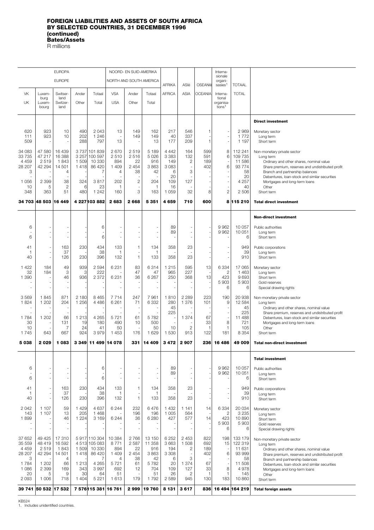### <span id="page-14-0"></span>**FOREIGN LIABILITIES AND ASSETS OF SOUTH AFRICA BY SELECTED COUNTRIES, 31 DECEMBER 1996 (continued) Bates/Assets** R millions

|                    |                      | <b>EUROPA</b>         |                  |                               |                          | NOORD- EN SUID-AMERIKA        |                  |                    |                               |                    | Interna-<br>sionale            |                    |                                                                                                   |
|--------------------|----------------------|-----------------------|------------------|-------------------------------|--------------------------|-------------------------------|------------------|--------------------|-------------------------------|--------------------|--------------------------------|--------------------|---------------------------------------------------------------------------------------------------|
|                    |                      | <b>EUROPE</b>         |                  |                               | NORTH AND SOUTH AMERICA  |                               |                  | <b>AFRIKA</b>      | ASIë                          | OSEANIë            | organi-<br>sasies <sup>1</sup> | <b>TOTAAL</b>      |                                                                                                   |
| <b>VK</b>          | Luxem-               | <b>Switser</b>        | Ander            | Totaal                        | <b>VSA</b>               | Ander                         | Totaal           | <b>AFRICA</b>      | <b>ASIA</b>                   | <b>OCEANIA</b>     | Interna-                       | <b>TOTAL</b>       |                                                                                                   |
| UK                 | burg<br>Luxem-       | land<br>Switzer       | Other            | Total                         | <b>USA</b>               | Other                         | Total            |                    |                               |                    | tional<br>organisa-            |                    |                                                                                                   |
|                    | bourg                | land                  |                  |                               |                          |                               |                  |                    |                               |                    | tions <sup>1</sup>             |                    |                                                                                                   |
|                    |                      |                       |                  |                               |                          |                               |                  |                    |                               |                    |                                |                    | <b>Direct investment</b>                                                                          |
| 620                | 923                  | 10                    | 490              | 2043                          | 13                       | 149                           | 162              | 217                | 546                           | 1                  | $\overline{\phantom{m}}$       | 2 9 6 9            | Monetary sector                                                                                   |
| 111<br>509         | 923                  | 10                    | 202<br>288       | 1 2 4 6<br>797                | ÷,<br>13                 | 149                           | 149<br>13        | 40<br>177          | 337<br>209                    | $\mathbf{1}$       | $\sim$<br>ä,                   | 1772<br>1 1 9 7    | Long term<br>Short term                                                                           |
| 34 083             | 47 580               | 16 439                |                  | 3737 101839                   | 2670                     | 2519                          | 5 1 8 9          | 4 4 4 2            | 164                           | 599                | 8                              | 112 241            | Non-monetary private sector                                                                       |
| 33 7 35<br>4 4 5 9 | 47 217<br>2519       | 16 388<br>1843        | 3 2 5 7<br>1 509 | 100 597<br>10 330             | 2510<br>894              | 2516<br>22                    | 5026<br>916      | 3 3 8 3<br>149     | 132<br>$\mathbf{2}$           | 591<br>189         | 6<br>÷                         | 109 735<br>11 586  | Long term<br>Ordinary and other shares, nominal value                                             |
| 28 207<br>3        | 42 294               | 14 501<br>4           | 1418             | 86 4 20<br>7                  | 1 4 0 9<br>4             | 2 4 5 4<br>38                 | 3863<br>42       | 3083<br>6          | ÷,<br>3                       | 402                | 6<br>ä,                        | 93 7 7 4<br>58     | Share premium, reserves and undistributed profit<br>Branch and partnership balances               |
| 1 0 5 6            | 2 3 9 9              | 38                    | 324              | 3817                          | 202                      | $\overline{c}$                | 204              | 20<br>109          | ÷,<br>127                     |                    | $\frac{1}{2}$<br>÷,            | 20<br>4 2 5 7      | Debentures, loan-stock and similar securities<br>Mortgages and long-term loans                    |
| 10<br>348          | 5<br>363             | $\overline{2}$<br>51  | 6<br>480         | 23<br>1 2 4 2                 | 1<br>160                 | ÷,<br>3                       | 1<br>163         | 16<br>1 0 5 9      | 32                            | 8                  | ÷,<br>$\overline{c}$           | 40<br>2 506        | Other<br>Short term                                                                               |
|                    |                      |                       |                  |                               |                          |                               |                  |                    |                               | 600                |                                |                    |                                                                                                   |
|                    | 34 703 48 503 16 449 |                       |                  | 4 227 103 882                 | 2683                     | 2668                          | 5 3 5 1          | 4659               | 710                           |                    |                                | 8 115 210          | <b>Total direct investment</b>                                                                    |
|                    |                      |                       |                  |                               |                          |                               |                  |                    |                               |                    |                                |                    | <b>Non-direct investment</b>                                                                      |
| 6                  |                      |                       |                  | 6                             |                          |                               |                  | 89                 |                               |                    | 9962                           | 10 057             | Public authorities                                                                                |
| 6                  |                      |                       |                  | 6                             | ä,                       | ÷,<br>÷,                      | ۰                | 89                 | ä,                            |                    | 9962                           | 10 051<br>6        | Long term<br>Short term                                                                           |
| 41                 |                      | 163                   | 230              | 434                           | 133                      | 1                             | 134              | 358                | 23                            |                    |                                | 949                | Public corporations                                                                               |
| 1<br>40            |                      | 37<br>126             | 230              | 38<br>396                     | 1<br>132                 | $\overline{\phantom{a}}$<br>1 | 1<br>133         | 358                | 23                            |                    | ÷,<br>ä,                       | 39<br>910          | Long term<br>Short term                                                                           |
| 1422               | 184                  | 49                    | 939              | 2 5 9 4                       | 6 2 3 1                  | 83                            | 6314             | 1 2 1 5            | 595                           | 13                 | 6 3 3 4                        | 17 065             | Monetary sector                                                                                   |
| 32<br>1 3 9 0      | 184                  | 3<br>46               | 3<br>936         | 222<br>2 3 7 2                | 6 2 3 1                  | 47<br>36                      | 47<br>6 2 6 7    | 965<br>250         | 227<br>368                    | 13                 | $\overline{c}$<br>423          | 1 4 6 3<br>9693    | Long term<br>Short term                                                                           |
|                    |                      |                       |                  |                               | ÷,                       | ä,                            | L,               |                    | Ē,                            |                    | 5 903<br>6                     | 5903<br>6          | Gold reserves<br>Special drawing rights                                                           |
| 3569               | 1845                 | 871                   | 2 180            | 8 4 6 5                       | 7714                     | 247                           | 7961             | 1810               | 2 2 8 9                       | 223                | 190                            | 20 938             | Non-monetary private sector                                                                       |
| 1824               | 1 202                | 204                   | 1 2 5 6          | 4 4 8 6                       | 6 2 6 1                  | 71                            | 6 3 3 2          | 280<br>45          | 1 3 7 6                       | 101                | 9<br>÷,                        | 12 5 84<br>45      | Long term<br>Ordinary and other shares, nominal value                                             |
| 1784               | 1 202                | ٠<br>66               | 1 2 1 3          | 4 2 6 5                       | 5721                     | 61                            | 5782             | 225                | 1 3 7 4                       | 67                 | $\overline{\phantom{a}}$       | 225<br>11 488      | Share premium, reserves and undistributed profit<br>Debentures, loan-stock and similar securities |
| 30<br>10           |                      | 131<br>$\overline{7}$ | 19<br>24         | 180<br>41                     | 490<br>50                | 10                            | 500<br>50        | 10                 | $\overline{2}$                | 33<br>1            | 8<br>$\mathbf{1}$              | 721<br>105         | Mortgages and long-term loans<br>Other                                                            |
| 1745               | 643                  | 667                   | 924              | 3979                          | 1453                     | 176                           | 1629             | 1 5 3 0            | 913                           | 122                | 181                            | 8 3 5 4            | Short term                                                                                        |
| 5038               | 2029                 | 1083                  |                  | 3 349 11 499 14 078           |                          | 331                           | 14 409           | 3472               | 2907                          | 236                | 16 486                         | 49 009             | <b>Total non-direct investment</b>                                                                |
|                    |                      |                       |                  |                               |                          |                               |                  |                    |                               |                    |                                |                    | <b>Total investment</b>                                                                           |
| 6                  |                      |                       |                  | 6                             |                          |                               |                  | 89                 | ÷,                            |                    | 9962                           | 10 057             | Public authorities                                                                                |
| 6                  |                      |                       |                  | 6                             | $\overline{\phantom{a}}$ | ä,                            |                  | 89                 | ÷,<br>÷,                      |                    | 9962                           | 10 051<br>6        | Long term<br>Short term                                                                           |
| 41                 |                      | 163                   | 230              | 434                           | 133                      | 1                             | 134              | 358                | 23                            |                    | ÷,                             | 949                |                                                                                                   |
| 1                  |                      | 37                    |                  | 38                            | 1                        |                               | 1                |                    |                               |                    | ä,                             | 39                 | Public corporations<br>Long term                                                                  |
| 40                 |                      | 126                   | 230              | 396                           | 132                      | $\mathbf{1}$                  | 133              | 358                | 23                            |                    |                                | 910                | Short term                                                                                        |
| 2 0 4 2<br>143     | 1 107<br>1 107       | 59<br>13              | 1429<br>205      | 4 6 3 7<br>1 4 6 8            | 6 2 4 4                  | 232<br>196                    | 6476<br>196      | 1 4 3 2<br>1 0 0 5 | 1 1 4 1<br>564                | 14                 | 6 3 3 4<br>$\overline{2}$      | 20 034<br>3 2 3 5  | Monetary sector<br>Long term                                                                      |
| 1899               |                      | 46                    | 1 2 2 4          | 3 1 6 9                       | 6 2 4 4                  | 36                            | 6 2 8 0          | 427                | 577                           | 14                 | 423<br>5903                    | 10890<br>5903      | Short term<br>Gold reserves                                                                       |
|                    |                      |                       |                  |                               |                          |                               |                  |                    | ä,                            |                    | 6                              | 6                  | Special drawing rights                                                                            |
| 37 652<br>35 559   | 49 4 25<br>48 419    | 17 310<br>16 592      |                  | 5917 110 304<br>4 513 105 083 | 10 384<br>8771           | 2766<br>2 5 8 7               | 13 150<br>11 358 | 6 2 5 2<br>3663    | 2 4 5 3<br>1508               | 822<br>692         | 198<br>15                      | 133 179<br>122 319 | Non-monetary private sector<br>Long term                                                          |
| 4 4 5 9<br>28 207  | 2519<br>42 294       | 1843<br>14 501        | 1 509<br>1418    | 10 330<br>86 4 20             | 894<br>1 4 0 9           | 22<br>2 4 5 4                 | 916<br>3863      | 194<br>3 3 0 8     | 2<br>$\overline{\phantom{a}}$ | 189<br>402         | $\overline{\phantom{a}}$<br>6  | 11 631<br>93 999   | Ordinary and other shares, nominal value<br>Share premium, reserves and undistributed profit      |
| 3<br>1784          | 1 202                | $\overline{4}$<br>66  | 1 2 1 3          | 7<br>4 2 6 5                  | 4<br>5721                | 38<br>61                      | 42<br>5782       | 6<br>20            | 3<br>1 3 7 4                  | 67                 | ÷,                             | 58<br>11 508       | Branch and partnership balances<br>Debentures, loan-stock and similar securities                  |
| 1 0 8 6<br>20      | 2 3 9 9<br>5         | 169<br>9              | 343<br>30        | 3997<br>64                    | 692<br>51                | 12                            | 704<br>51        | 109<br>26          | 127<br>$\mathbf{2}$           | 33<br>$\mathbf{1}$ | 8<br>1                         | 4978<br>145        | Mortgages and long-term loans<br>Other                                                            |
| 2 0 9 3            | 1 0 0 6              | 718                   | 1 4 0 4          | 5 2 2 1                       | 1613                     | 179                           | 1792             | 2589               | 945                           | 130                | 183                            | 10 860             | Short term                                                                                        |
|                    | 39 741 50 532 17 532 |                       |                  | 7 576 15 381 16 761           |                          | 2999                          | 19760            | 8 1 3 1            | 3617                          | 836                |                                | 16 494 164 219     | <b>Total foreign assets</b>                                                                       |

KB524 1. Includes unidentified countries.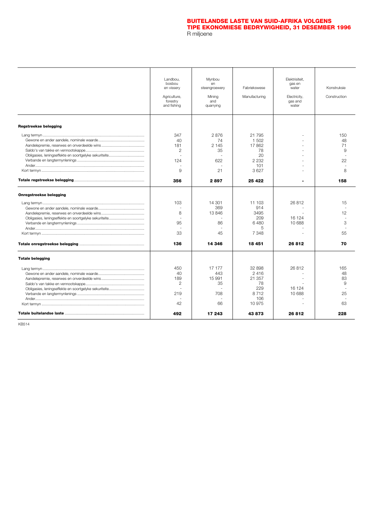### **BUITELANDSE LASTE VAN SUID-AFRIKA VOLGENS [TIPE EKONOMIESE BEDRYWIGHEID, 31 DESEMBER 1996](#page-16-0)** R miljoene

<span id="page-15-0"></span>

|                         | Landbou.<br>bosbou<br>en vissery<br>Agriculture,<br>forestry<br>and fishing | Mynbou<br>en<br>steengroewery<br>Mining<br>and<br>quarrying | Fabriekswese<br>Manufacturing                                  | Elektrisiteit.<br>gas en<br>water<br>Electricity,<br>gas and<br>water | Konstruksie<br>Construction      |
|-------------------------|-----------------------------------------------------------------------------|-------------------------------------------------------------|----------------------------------------------------------------|-----------------------------------------------------------------------|----------------------------------|
| Regstreekse belegging   |                                                                             |                                                             |                                                                |                                                                       |                                  |
|                         | 347<br>40<br>181<br>$\overline{c}$<br>÷.<br>124<br>9                        | 2876<br>74<br>2 1 4 5<br>35<br>622<br>21                    | 21 795<br>1 502<br>17862<br>78<br>20<br>2 2 3 2<br>101<br>3627 |                                                                       | 150<br>48<br>71<br>9<br>22<br>8  |
|                         | 356                                                                         | 2897                                                        | 25 4 22                                                        |                                                                       | 158                              |
| Onregstreekse belegging |                                                                             |                                                             |                                                                |                                                                       |                                  |
|                         | 103<br>÷.<br>8<br>95<br>33                                                  | 14 301<br>369<br>13846<br>86<br>45                          | 11 103<br>914<br>3495<br>209<br>6480<br>5<br>7 3 4 8           | 26812<br>÷.<br>16 124<br>10 688                                       | 15<br>12<br>3<br>55              |
|                         | 136                                                                         | 14 346                                                      | 18 451                                                         | 26812                                                                 | 70                               |
| <b>Totale belegging</b> |                                                                             |                                                             |                                                                |                                                                       |                                  |
|                         | 450<br>40<br>189<br>$\overline{2}$<br>219<br>42                             | 17 177<br>443<br>15 991<br>35<br>708<br>66                  | 32 898<br>2416<br>21 357<br>78<br>229<br>8712<br>106<br>10 975 | 26812<br>J.<br>16 124<br>10 688<br>÷,                                 | 165<br>48<br>83<br>9<br>25<br>63 |
|                         | 492                                                                         | 17 243                                                      | 43873                                                          | 26812                                                                 | 228                              |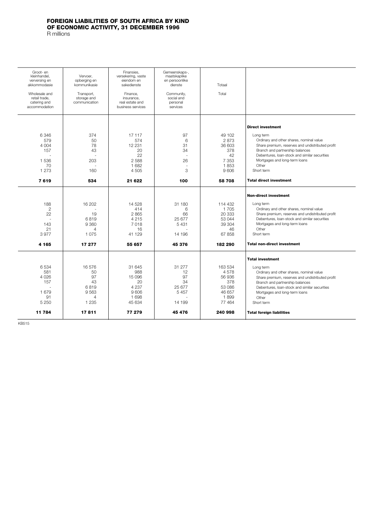### <span id="page-16-0"></span>**FOREIGN LIABILITIES OF SOUTH AFRICA BY KIND OF ECONOMIC ACTIVITY, 31 DECEMBER 1996**

R millions

| Groot- en<br>kleinhandel.<br>verversing en<br>akkommodasie<br>Wholesale and<br>retail trade.<br>catering and<br>accommodation | Vervoer.<br>opberging en<br>kommunikasie<br>Transport.<br>storage and<br>communication | Finansies,<br>versekering, vaste<br>eiendom en<br>sakedienste<br>Finance.<br>insurance.<br>real estate and<br>business services | Gemeenskaps-,<br>maatskaplike<br>en persoonlike<br>dienste<br>Community.<br>social and<br>personal<br>services | Totaal<br>Total                                                                  |                                                                                                                                                                                                                                                                                                                      |
|-------------------------------------------------------------------------------------------------------------------------------|----------------------------------------------------------------------------------------|---------------------------------------------------------------------------------------------------------------------------------|----------------------------------------------------------------------------------------------------------------|----------------------------------------------------------------------------------|----------------------------------------------------------------------------------------------------------------------------------------------------------------------------------------------------------------------------------------------------------------------------------------------------------------------|
| 6346<br>579<br>4 0 0 4<br>157<br>$\overline{a}$<br>1536<br>70<br>1 2 7 3                                                      | 374<br>50<br>78<br>43<br>÷.<br>203<br>160                                              | 17 117<br>574<br>12 2 31<br>20<br>22<br>2588<br>1 682<br>4 5 0 5                                                                | 97<br>6<br>31<br>34<br>$\sim$<br>26<br>ä,<br>3                                                                 | 49 102<br>2873<br>36 603<br>378<br>42<br>7 3 5 3<br>1853<br>9606                 | <b>Direct investment</b><br>Long term<br>Ordinary and other shares, nominal value<br>Share premium, reserves and undistributed profit<br>Branch and partnership balances<br>Debentures, loan-stock and similar securities<br>Mortgages and long-term loans<br>Other<br>Short term                                    |
| 7619                                                                                                                          | 534                                                                                    | 21 622                                                                                                                          | 100                                                                                                            | 58708                                                                            | <b>Total direct investment</b>                                                                                                                                                                                                                                                                                       |
| 188<br>$\mathbf{2}$<br>22<br>143<br>21<br>3977<br>4 165                                                                       | 16 202<br>19<br>6819<br>9360<br>4<br>1075<br>17 277                                    | 14 528<br>414<br>2865<br>4 2 1 5<br>7018<br>16<br>41 129<br>55 657                                                              | 31 180<br>6<br>66<br>25 677<br>5431<br>14 196<br>45 376                                                        | 114 432<br>1705<br>20 333<br>53 044<br>39 304<br>46<br>67858<br>182 290          | <b>Non-direct investment</b><br>Long term<br>Ordinary and other shares, nominal value<br>Share premium, reserves and undistributed profit<br>Debentures, loan-stock and similar securities<br>Mortgages and long-term loans<br>Other<br>Short term<br><b>Total non-direct investment</b>                             |
| 6534<br>581<br>4 0 2 6<br>157<br>1679<br>91<br>5 2 5 0<br>11 784                                                              | 16576<br>50<br>97<br>43<br>6819<br>9563<br>4<br>1 2 3 5<br>17811                       | 31 645<br>988<br>15 096<br>20<br>4 2 3 7<br>9606<br>1698<br>45 634<br>77 279                                                    | 31 277<br>12<br>97<br>34<br>25 677<br>5457<br>14 199<br>45 476                                                 | 163 534<br>4578<br>56 936<br>378<br>53 086<br>46 657<br>1899<br>77464<br>240 998 | <b>Total investment</b><br>Long term<br>Ordinary and other shares, nominal value<br>Share premium, reserves and undistributed profit<br>Branch and partnership balances<br>Debentures, loan-stock and similar securities<br>Mortgages and long-term loans<br>Other<br>Short term<br><b>Total foreign liabilities</b> |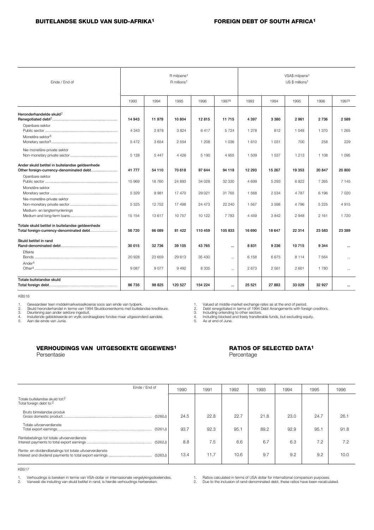<span id="page-17-0"></span>

| Einde / End of                                         |         |         | R miljoene <sup>1</sup><br>R millions <sup>1</sup> |         |           | VSA\$ miljoene <sup>1</sup><br>US \$ millions <sup>1</sup> |         |         |         |                      |
|--------------------------------------------------------|---------|---------|----------------------------------------------------|---------|-----------|------------------------------------------------------------|---------|---------|---------|----------------------|
|                                                        | 1993    | 1994    | 1995                                               | 1996    | 19975     | 1993                                                       | 1994    | 1995    | 1996    | 19975                |
| Heronderhandelde skuld <sup>2</sup><br>Openbare sektor | 14 943  | 11 979  | 10804                                              | 12815   | 11 715    | 4 3 9 7                                                    | 3 3 8 0 | 2961    | 2736    | 2589                 |
| Monetêre sektor <sup>3</sup>                           | 4 3 4 3 | 2878    | 3824                                               | 6417    | 5724      | 1 2 7 8                                                    | 812     | 1 048   | 1 3 7 0 | 1 2 6 5              |
| Nie-monetêre-private sektor                            | 5472    | 3654    | 2 5 5 4                                            | 1 2 0 8 | 1 0 3 6   | 1610                                                       | 1 0 3 1 | 700     | 258     | 229                  |
| Ander skuld betitel in buitelandse geldeenhede         | 5 1 2 8 | 5 4 4 7 | 4 4 2 6                                            | 5 1 9 0 | 4955      | 1 509                                                      | 1537    | 1 2 1 3 | 1 1 0 8 | 1 0 9 5              |
| Other foreign-currency-denominated debt                | 41 777  | 54 110  | 70 618                                             | 97 644  | 94 118    | 12 293                                                     | 15 267  | 19 353  | 20 847  | 20 800               |
| Openbare sektor<br>Monetêre sektor                     | 15 969  | 18 760  | 24 893                                             | 34 028  | 32 330    | 4 699                                                      | 5 2 9 3 | 6822    | 7 265   | 7 1 4 5              |
| Nie-monetêre-private sektor                            | 5 3 2 9 | 8 9 8 1 | 17 470                                             | 29.021  | 31 765    | 1568                                                       | 2534    | 4787    | 6 196   | 7.020                |
| Medium- en langtermynlenings                           | 5 3 2 5 | 12752   | 17 498                                             | 24 473  | 22 240    | 1567                                                       | 3598    | 4796    | 5 2 2 5 | 4 9 1 5              |
|                                                        | 15 154  | 13617   | 10757                                              | 10 122  | 7 7 8 3   | 4 4 5 9                                                    | 3842    | 2948    | 2 1 6 1 | 1720                 |
| Totale skuld betitel in buitelandse geldeenhede        | 56720   | 66 089  | 81 4 22                                            | 110 459 | 105 833   | 16 690                                                     | 18 647  | 22 3 14 | 23 583  | 23 389               |
| Skuld betitel in rand<br>Effekte                       | 30 015  | 32736   | 39 105                                             | 43765   | $\ddotsc$ | 8831                                                       | 9 2 3 6 | 10715   | 9 3 4 4 | $\ddotsc$            |
| Ander <sup>4</sup>                                     | 20928   | 23 659  | 29 613                                             | 35 430  | $\cdots$  | 6 1 5 8                                                    | 6675    | 8 1 1 4 | 7 5 6 4 | $\ddot{\phantom{a}}$ |
|                                                        | 9 0 8 7 | 9077    | 9492                                               | 8 3 3 5 | $\cdots$  | 2673                                                       | 2 5 6 1 | 2601    | 1780    | $\cdots$             |
| Totale buitelandse skuld                               | 86 735  | 98 825  | 120 527                                            | 154 224 | $\ddotsc$ | 25 5 21                                                    | 27883   | 33 0 29 | 32 927  | $\cdots$             |

KB516

1. Gewaardeer teen middelmarkwisselkoerse soos aan einde van tydperk.<br>2. Skuld beronderhandel in terme van 1994 Skuldooreenkoms met buitela

2. Skuld heronderhandel in terme van 1994 Skuldooreenkoms met buitelandse krediteure.<br>3. Deurlening aan ander sektore ingesluit.<br>4. Insluitende geblokkeerde en vrylik oordraagbare fondse maar uitgesonderd aande

5. Aan die einde van Junie.

1. Valued at middle-market exchange rates as at the end of period.<br>2. Debt renegotiated in terms of 1994 Debt Arrangements with foreign creditors.<br>3. Including onlending to other sectors.<br>4. Including blocked and freely tr

### **VERHOUDINGS VAN UITGESOEKTE GEGEWENS1 RATIOS OF SELECTED DATA1** Persentasie **Persentage Records**

| Einde / End of                                                                    | 1990 | 1991 | 1992 | 1993 | 1994 | 1995 | 1996 |
|-----------------------------------------------------------------------------------|------|------|------|------|------|------|------|
| Totale buitelandse skuld tot: <sup>2</sup><br>Total foreign debt to: <sup>2</sup> |      |      |      |      |      |      |      |
| Bruto binnelandse produk<br>(5260J)                                               | 24.5 | 22.8 | 22.7 | 21.8 | 23.0 | 24.7 | 26.1 |
| Totale uitvoerverdienste<br>(5261J)                                               | 93.7 | 92.3 | 95.1 | 89.2 | 92.9 | 95.1 | 91.8 |
| Rentebetalings tot totale uitvoerverdienste<br>(5262J)                            | 8.8  | 7.5  | 6.6  | 6.7  | 6.3  | 7.2  | 7.2  |
| Rente- en dividendbetalings tot totale uitvoerverdienste<br>(5263J)               | 13.4 | 11.7 | 10.6 | 9.7  | 9.2  | 9.2  | 10.0 |

KB517

1. Verhoudings is bereken in terme van VSA-dollar vir internasionale vergelykingsdoeleindes. 2. Vanweë die insluiting van skuld betitel in rand, is hierdie verhoudings herbereken.

1. Ratios calculated in terms of USA dollar for international comparison purposes.<br>2. Due to the inclusion of rand-denominated debty than with a subject Due to the inclusion of rand-denominated debt, these ratios have been recalculated.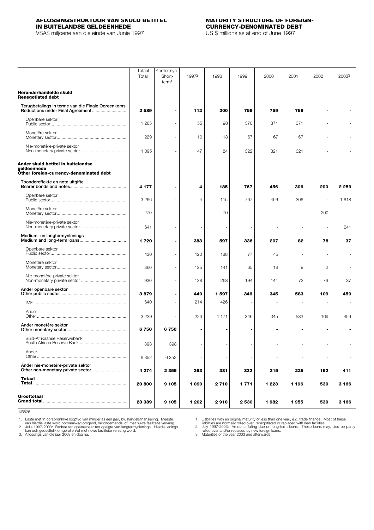## <span id="page-18-0"></span>**AFLOSSINGSTRUKTUUR VAN SKULD BETITEL MATURITY STRUCTURE OF FOREIGN-IN BUITELANDSE GELDEENHEDE CURRENCY-DENOMINATED DEBT**

VSA\$ miljoene aan die einde van Junie 1997

|                                                                                              | Totaal<br>Total | Korttermyn <sup>1</sup><br>Short-<br>term <sup>1</sup> | 1997 <sup>2</sup> | 1998    | 1999    | 2000    | 2001  | 2002                     | 2003 <sup>3</sup> |
|----------------------------------------------------------------------------------------------|-----------------|--------------------------------------------------------|-------------------|---------|---------|---------|-------|--------------------------|-------------------|
| Heronderhandelde skuld<br><b>Renegotiated debt</b>                                           |                 |                                                        |                   |         |         |         |       |                          |                   |
| Terugbetalings in terme van die Finale Ooreenkoms                                            | 2589            | $\blacksquare$                                         | 112               | 200     | 759     | 759     | 759   | $\blacksquare$           |                   |
| Openbare sektor                                                                              | 1 2 6 5         |                                                        | 55                | 98      | 370     | 371     | 371   |                          |                   |
| Monetêre sektor                                                                              | 229             | $\sim$                                                 | 10                | 18      | 67      | 67      | 67    |                          |                   |
| Nie-monetêre-private sektor                                                                  | 1 0 9 5         |                                                        | 47                | 84      | 322     | 321     | 321   |                          |                   |
| Ander skuld betitel in buitelandse<br>geldeenhede<br>Other foreign-currency-denominated debt |                 |                                                        |                   |         |         |         |       |                          |                   |
| Toondereffekte en note uitgifte                                                              | 4 1 7 7         | $\blacksquare$                                         | 4                 | 185     | 767     | 456     | 306   | 200                      | 2 2 5 9           |
| Openbare sektor                                                                              | 3 2 6 6         |                                                        | 4                 | 115     | 767     | 456     | 306   | $\overline{\phantom{a}}$ | 1618              |
| Monetêre sektor                                                                              | 270             |                                                        |                   | 70      |         |         |       | 200                      |                   |
| Nie-monetêre-private sektor                                                                  | 641             |                                                        |                   |         |         |         |       | -                        | 641               |
| Medium- en langtermynlenings                                                                 | 1720            |                                                        | 383               | 597     | 336     | 207     | 82    | 78                       | 37                |
| Openbare sektor                                                                              | 430             |                                                        | 120               | 188     | 77      | 45      |       |                          |                   |
| Monetêre sektor                                                                              | 360             | $\sim$                                                 | 125               | 141     | 65      | 18      | 9     | $\overline{c}$           |                   |
| Nie-monetêre-private sektor                                                                  | 930             |                                                        | 138               | 268     | 194     | 144     | 73    | 76                       | 37                |
| Ander openbare sektor                                                                        | 3879            |                                                        | 440               | 1597    | 346     | 345     | 583   | 109                      | 459               |
|                                                                                              | 640             |                                                        | 214               | 426     |         |         |       |                          |                   |
| Ander                                                                                        | 3 2 3 9         |                                                        | 226               | 1 1 7 1 | 346     | 345     | 583   | 109                      | 459               |
| Ander monetêre sektor                                                                        | 6750            | 6750                                                   |                   |         |         |         |       |                          |                   |
| Suid-Afrikaanse Reserwebank                                                                  | 398             | 398                                                    |                   |         |         |         |       |                          |                   |
| Ander                                                                                        | 6 3 5 2         | 6 3 5 2                                                |                   |         |         |         |       |                          |                   |
| Ander nie-monetêre-private sektor                                                            | 4 274           | 2 3 5 5                                                | 263               | 331     | 322     | 215     | 225   | 152                      | 411               |
| Totaal                                                                                       | 20 800          | 9 1 0 5                                                | 1 0 9 0           | 2710    | 1771    | 1 2 2 3 | 1 196 | 539                      | 3 166             |
| Groottotaal                                                                                  | 23 389          | 9 1 0 5                                                | 1 202             | 2910    | 2 5 3 0 | 1982    | 1955  | 539                      | 3 166             |

KB525

1. Laste met 'n oorspronklike looptyd van minder as een jaar, bv. handelsfinansiering. Meeste<br>2. Julie 1997-2003: Bedrae terugbetaalbaar ten opsigte van langtermynlemings. Mervang.<br>2. Julie 1997-2003: Bedrae terugbetaalbaa

1. Liabilities with an original maturity of less than one year, e.g. trade finance. Most of these<br>2. July 1997-2003: Amounts falling due on long-term loans. These loans may, also be partly<br>2. July 1997-2003: Amounts fallin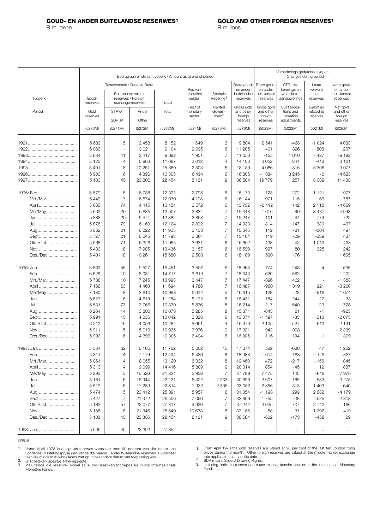<span id="page-19-0"></span>

|                  |                    |                                                                |         |                  | Bedrag aan einde van tydperk / Amount as at end of period |                                   |                         | Veranderings gedurende tydperk<br>Changes during period |                             |                          |                         |  |
|------------------|--------------------|----------------------------------------------------------------|---------|------------------|-----------------------------------------------------------|-----------------------------------|-------------------------|---------------------------------------------------------|-----------------------------|--------------------------|-------------------------|--|
|                  |                    | Reserwebank / Reserve Bank                                     |         |                  | Res van                                                   |                                   | Bruto goud-<br>en ander | Bruto goud-<br>en ander                                 | STR-toe-<br>kennings en     | Laste<br>verwant         | Netto goud-<br>en ander |  |
| Tydperk          | Goud-<br>reserwes  | Buitelandse valuta-<br>reserwes / Foreian<br>exchange reserves |         | Totaal           | monetêre<br>sektor                                        | Sentrale<br>Regering <sup>3</sup> | buitelandse<br>reserwes | buitelandse<br>reserwes                                 | waardasie-<br>aansuiwerings | aan<br>reserwes          | buitelandse<br>reserwes |  |
|                  |                    |                                                                |         |                  | Rest of                                                   | Central                           | Gross gold              | Gross gold                                              | SDR alloca-                 | Liabilities              | Net gold                |  |
| Period           | Gold<br>reserves   | STR'e <sup>2</sup>                                             | Ander   | Total            | monetary<br>sector                                        | Govern-<br>ment <sup>3</sup>      | and other<br>foreign    | and other<br>foreign                                    | tions and<br>valuation      | related to<br>reserves   | and other<br>foreign    |  |
|                  |                    | SDR's <sup>2</sup>                                             | Other   |                  |                                                           |                                   | reserves                | reserves                                                | adjustments                 |                          | reserves                |  |
|                  | (5270M)            | (5271M)                                                        | (5272M) | (5273M)          | (5274M)                                                   | (5275M)                           | (5276M)                 | (5023M)                                                 | (5022M)                     | (5021M)                  | (5020M)                 |  |
|                  | 5 6 8 9            | 5                                                              | 2458    | 8 1 5 2          | 1 649                                                     | 3                                 | 9804                    | 2541                                                    | -468                        | $-1024$                  | 4 0 3 3                 |  |
|                  | 6083               | $\sim$                                                         | 3 0 21  | 9 1 0 4          | 2 0 9 5                                                   | 6                                 | 11 205                  | 1 4 0 1                                                 | 326                         | 808                      | 267                     |  |
|                  | 5 6 3 4            | 41                                                             | 3417    | 9092             | 1951                                                      | $\overline{7}$                    | 11 050                  | $-155$                                                  | 1610                        | 7427                     | $-9192$                 |  |
|                  | 5 1 2 0            | $\overline{4}$                                                 | 5963    | 11 087           | 3012                                                      | $\overline{4}$                    | 14 103                  | 3 0 5 2                                                 | 344                         | $-413$                   | 3 1 2 1                 |  |
|                  | 5 4 0 1            | 18                                                             | 10 261  | 15 680           | 2 5 0 3                                                   | 6                                 | 18 189                  | 4 0 8 6                                                 | 315                         | $-5306$                  | 9077                    |  |
|                  | 5 9 0 3            | 6                                                              | 4 3 9 6 | 10 305           | 6 4 9 4                                                   | 6                                 | 16805                   | $-1.384$                                                | 3 2 4 5                     | -6                       | $-4623$                 |  |
|                  | 5 1 0 3            | 45                                                             | 23 306  | 28 454           | 8 1 2 1                                                   | 9                                 | 36 584                  | 19779                                                   | 257                         | 8 0 8 9                  | 11 433                  |  |
|                  |                    |                                                                |         |                  |                                                           |                                   |                         |                                                         |                             |                          |                         |  |
| 1995: Feb        | 5579               | 5                                                              | 6788    | 12 372           | 2795                                                      | 6                                 | 15 173                  | 1 1 2 8                                                 | 272                         | $-1121$                  | 1977                    |  |
| Mrt./Mar         | 5 4 4 9            | $\overline{7}$                                                 | 6574    | 12 030           | 4 108                                                     | 6                                 | 16 144                  | 971                                                     | 115                         | 69                       | 787                     |  |
| April            | 5 6 6 5            | 74                                                             | 4 4 1 5 | 10 154           | 3572                                                      | 6                                 | 13732                   | $-2412$                                                 | 142                         | 2 1 1 5                  | $-4669$                 |  |
| Mei/May          | 5 602              | 20                                                             | 6885    | 12 507           | 2 8 3 4                                                   | $\overline{7}$                    | 15 348                  | 1616                                                    | 49                          | $-3431$                  | 4 9 9 8                 |  |
| Jun.             | 5888               | 20                                                             | 6474    | 12 3 8 2         | 2858                                                      | $\overline{7}$                    | 15 247                  | $-101$                                                  | $-44$                       | $-779$                   | 722                     |  |
| Jul              | 5876               | 79                                                             | 6 1 6 9 | 12 124           | 2 8 0 2                                                   | $\overline{7}$                    | 14 933                  | $-314$                                                  | $-147$                      | 330                      | -497                    |  |
| Aug              | 5862               | 21                                                             | 6 0 2 2 | 11 905           | 3 1 3 3                                                   | $\overline{7}$                    | 15 045                  | 112                                                     | $-81$                       | $-304$                   | 497                     |  |
| Sept             | 5727               | 21                                                             | 6045    | 11 793           | 3 3 6 4                                                   | $\overline{7}$                    | 15 164                  | 119                                                     | -29                         | $-339$                   | 487                     |  |
| Okt./Oct         | 5 5 6 8            | 71                                                             | 6 3 2 6 | 11 965           | 3631                                                      | 6                                 | 15 602                  | 438                                                     | -42                         | $-1013$                  | 1 4 9 3                 |  |
| Nov              | 5 4 3 3            | 18                                                             | 7985    | 13 4 36          | 3 1 5 7                                                   | 6                                 | 16 599                  | 997                                                     | 80                          | $-325$                   | 1 2 4 2                 |  |
| Des./Dec         | 5 4 0 1            | 18                                                             | 10 261  | 15 680           | 2 5 0 3                                                   | 6                                 | 18 189                  | 1590                                                    | $-76$                       | 1                        | 1 6 6 5                 |  |
|                  | 5869               | 55                                                             | 9527    | 15451            | 3507                                                      | 5                                 | 18 963                  | 774                                                     | 243                         | $-4$                     | 535                     |  |
| Feb.             | 6626               | 10                                                             | 8 0 8 1 | 14717            | 3619                                                      | $\overline{7}$                    | 18 343                  | $-620$                                                  | 582                         | $\overline{\phantom{a}}$ | $-1202$                 |  |
| Mrt./Mar         | 6738               | 10                                                             | 7 2 4 5 | 13 993           | 3 4 4 7                                                   | $\overline{7}$                    | 17 447                  | -896                                                    | 462                         | ÷.                       | $-1.358$                |  |
| April            | 7 1 6 8            | 63                                                             | 4 4 6 3 | 11 694           | 4786                                                      | $\overline{7}$                    | 16 487                  | $-960$                                                  | 1 319                       | 921                      | $-3200$                 |  |
| Mei/May          | 7 180              | 8                                                              | 3810    | 10 998           | 5612                                                      | 5                                 | 16615                   | 128                                                     | $-28$                       | $-918$                   | 1 0 7 4                 |  |
| Jun.             | 6627               | 8                                                              | 4619    | 11 254           | 5 1 7 2                                                   | 5                                 | 16 431                  | $-184$                                                  | $-244$                      | 27                       | 33                      |  |
|                  | 6531               | 73                                                             | 3766    | 10 370           | 5836                                                      | 8                                 | 16 214                  | $-217$                                                  | 540                         | $-29$                    | $-728$                  |  |
| Aug              | 6 2 6 4            | 14                                                             | 3800    | 10 0 78          | 5 2 8 5                                                   | 8                                 | 15 371                  | $-843$                                                  | 81                          | $-1$                     | $-923$                  |  |
| Sept             | 5 9 9 1            | 15                                                             | 4 0 3 6 | 10 042           | 3826                                                      | 6                                 | 13874                   | $-1497$                                                 | $-35$                       | 613                      | $-2075$                 |  |
| Okt./Oct         | 6212               | 16                                                             | 4 0 5 6 | 10 284           | 5 6 9 1                                                   | $\overline{4}$                    | 15979                   | 2 105                                                   | 527                         | $-613$                   | 2 191                   |  |
| Nov.             | 5911               | 5                                                              | 5019    | 10 935           | 6976                                                      | 10                                | 17921                   | 1942                                                    | $-398$                      | 1                        | 2 3 3 9                 |  |
| Des./Dec         | 5 9 0 3            | 6                                                              | 4 3 9 6 | 10 305           | 6494                                                      | 6                                 | 16805                   | $-1116$                                                 | 194                         | $-1$                     | $-1.309$                |  |
|                  | 5 5 3 4            | 62                                                             | 6 1 6 6 | 11 762           | 5 6 0 2                                                   | 10                                | 17 374                  | 569                                                     | $-680$                      | 47                       | 1 202                   |  |
| Feb.             | 5311               | $\overline{4}$                                                 | 7 1 7 9 | 12 4 9 4         | 6486                                                      | 8                                 | 18 988                  | 1614                                                    | -188                        | 2 1 2 9                  | $-327$                  |  |
| Mrt./Mar         | 5 0 61             | 4                                                              | 8055    | 13 120           | 6 3 3 2                                                   | 8                                 | 19460                   | 472                                                     | $-217$                      | $-156$                   | 845                     |  |
| April            | 5313               | 4                                                              | 9099    | 14 4 16          | 5889                                                      | $\overline{9}$                    | 20314                   | 854                                                     | -45                         | 12                       | 887                     |  |
|                  |                    |                                                                |         |                  |                                                           |                                   |                         |                                                         |                             |                          |                         |  |
| Mei/May          | 5 2 9 3            | 5                                                              | 16 5 26 | 21 824           | 5958                                                      | $\overline{7}$                    | 27 789                  | 7475                                                    | 145                         | $-646$                   | 7976                    |  |
| Jun.             | 5 1 8 1            | 6                                                              | 16944   | 22 131<br>22 814 | 6 3 0 2                                                   | 2 2 6 3                           | 30 696                  | 2 9 0 7                                                 | 165                         | $-533$                   | 3 2 7 5                 |  |
| Jul              | 5519               | 6                                                              | 17 289  |                  | 7932                                                      | 2 3 0 6                           | 33 052                  | 2 3 5 6                                                 | 313                         | 1 4 0 3                  | 640                     |  |
| Aug              | 5474               | 5                                                              | 20412   | 25 891           | 5957                                                      | 6                                 | 31 854                  | $-1198$                                                 | 299                         | 2682                     | $-4179$                 |  |
| Sept             | 5427               | $\overline{7}$                                                 | 21 072  | 26 506           | 7096                                                      | $\overline{7}$                    | 33 609                  | 1755                                                    | $-38$                       | $-525$                   | 2 3 1 8                 |  |
| Okt./Oct         | 5 1 8 3            | 57                                                             | 22 077  | 27 317           | 9920                                                      | $\overline{7}$                    | 37 244                  | 3635                                                    | 707                         | 2742                     | 186                     |  |
| Nov.<br>Des./Dec | 5 1 8 6<br>5 1 0 3 | 8<br>45                                                        | 21 346  | 26 540           | 10 638                                                    | 8<br>$9$                          | 37 186                  | -58<br>$-602$                                           | -31<br>$-173$               | 1 3 9 2<br>$-458$        | $-1419$                 |  |
|                  |                    |                                                                | 23 306  | 28 4 54          | 8 1 2 1                                                   |                                   | 36 584                  |                                                         |                             |                          | 29                      |  |
| 1998: Jan.       | 5 5 0 5            | 45                                                             | 22 302  | 27 852           | $\ldots$                                                  | $\cdots$                          | $\cdots$                | $\cdots$                                                | $\cdots$                    | $\cdots$                 | $\cdots$                |  |

KB518

Vanaf April 1978 is die goudreserwes waardeer teen 90 persent van die laaste tien<br>Londense vasstellingspryse gedurende die maand. Ander buitelandse reserwes is waardeer<br>teen die middelmarkwisselkoers wat op 'n besondere da 1. 2. 3.

From April 1978 the gold reserves are valued at 90 per cent of the last ten London fixing<br>prices during the month. Other foreign reserves are valued at the middle market exchange<br>rate applicable on a specific date.<br>SDR mea 1.

2. 3.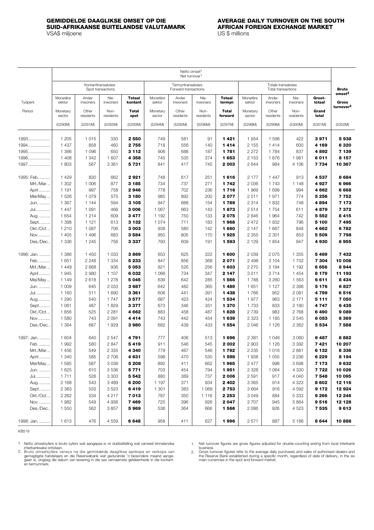### <span id="page-20-0"></span>**GEMIDDELDE DAAGLIKSE OMSET OP DIE AVERAGE DAILY TURNOVER ON THE SOUTH SUID-AFRIKAANSE BUITELANDSE VALUTAMARK AFRICAN FOR AFRICAN EXAMPLE EXAMPLE EXAMPLE AFTER AFTER AFTER**<br>VSA\$ millioene VSA\$ miljoene

|            |                    |                    |                                         |                          |                    | Netto omset <sup>1</sup><br>Net turnover <sup>1</sup> |                   |                         |                    |                    |                   |                  |                                                      |
|------------|--------------------|--------------------|-----------------------------------------|--------------------------|--------------------|-------------------------------------------------------|-------------------|-------------------------|--------------------|--------------------|-------------------|------------------|------------------------------------------------------|
|            |                    |                    | Kontanttransaksies<br>Spot transactions |                          |                    | Termyntransaksies<br>Forward transactions             |                   |                         |                    | <b>Bruto</b>       |                   |                  |                                                      |
| Tydperk    | Monetêre<br>sektor | Ander<br>inwoners  | Nie-<br>inwoners                        | <b>Totaal</b><br>kontant | Monetêre<br>sektor | Ander<br>inwoners                                     | Nie-<br>inwoners  | <b>Totaal</b><br>termyn | Monetêre<br>sektor | Ander<br>inwoners  | Nie-<br>inwoners  | Groot-<br>totaal | omset <sup>2</sup><br>Gross<br>turnover <sup>2</sup> |
| Period     | Monetary<br>sector | Other<br>residents | Non-<br>residents                       | <b>Total</b><br>spot     | Monetary<br>sector | Other<br>residents                                    | Non-<br>residents | <b>Total</b><br>forward | Monetary<br>sector | Other<br>residents | Non-<br>residents | Grand<br>total   |                                                      |
|            | (5290M)            | (5291M)            | (5292M)                                 | (5293M)                  | (5294M)            | (5295M)                                               | (5296M)           | (5297M)                 | (5298M)            | (5299M)            | (5300M)           | (5301M)          | (5302M)                                              |
| 1993       | 1 205              | 1015               | 330                                     | 2 5 5 0                  | 749                | 581                                                   | 91                | 1421                    | 1954               | 1596               | 422               | 3971             | 5938                                                 |
| 1994       | 1 4 3 7            | 858                | 460                                     | 2755                     | 718                | 556                                                   | 140               | 1414                    | 2 1 5 5            | 1414               | 600               | 4 169            | 6 3 2 0                                              |
| 1995       | 1 3 6 6            | 1 0 9 6            | 650                                     | 3 1 1 2                  | 906                | 688                                                   | 187               | 1781                    | 2 2 7 2            | 1784               | 837               | 4892             | 7 139                                                |
| 1996       | 1 4 0 8            | 1 3 4 2            | 1 607                                   | 4 358                    | 745                | 535                                                   | 374               | 1653                    | 2 1 5 3            | 1876               | 1981              | 6011             | 8 1 5 7                                              |
| 1997       | 1803               | 567                | 3 3 6 1                                 | 5731                     | 841                | 417                                                   | 745               | 2003                    | 2644               | 984                | 4 10 6            | 7 734            | 10 367                                               |
| 1995: Feb. | 1429               | 830                | 662                                     | 2921                     | 748                | 617                                                   | 251               | 1616                    | 2 177              | 1447               | 913               | 4537             | 6684                                                 |
| Mrt./Mar   | 1 302              | 1 0 0 6            | 877                                     | 3 1 8 5                  | 734                | 737                                                   | 271               | 1742                    | 2036               | 1743               | 1 1 4 8           | 4 927            | 6966                                                 |
| April      | 1 1 9 1            | 997                | 758                                     | 2946                     | 778                | 702                                                   | 236               | 1716                    | 1 969              | 1 6 9 9            | 994               | 4662             | 6668                                                 |
| Mei/May    | 1526               | 1079               | 575                                     | 3 180                    | 985                | 892                                                   | 200               | 2077                    | 2511               | 1971               | 774               | 5 2 5 6          | 7752                                                 |
| Jun.       | 1 3 6 7            | 1 1 4 4            | 594                                     | 3 1 0 5                  | 947                | 688                                                   | 154               | 1789                    | 2 3 1 4            | 1832               | 748               | 4894             | 7 173                                                |
| Jul.       | 1 4 4 7            | 1 0 9 1            | 468                                     | 3 0 0 6                  | 1 0 6 7            | 663                                                   | 143               | 1873                    | 2514               | 1754               | 611               | 4879             | 7372                                                 |
| Aug.       | 1654               | 1214               | 609                                     | 3477                     | 1 1 9 2            | 750                                                   | 133               | 2075                    | 2846               | 1 9 6 4            | 742               | 5 5 5 2          | 8415                                                 |
| Sept       | 1 3 9 8            | 1 1 2 1            | 613                                     | 3 1 3 2                  | 1 0 7 4            | 711                                                   | 183               | 1968                    | 2 4 7 2            | 1832               | 796               | 5 100            | 7495                                                 |
| Okt./Oct   | 1 2 1 0            | 1 0 8 7            | 706                                     | 3 0 0 3                  | 938                | 580                                                   | 142               | 1660                    | 2 147              | 1 667              | 848               | 4 662            | 6782                                                 |
| Nov        | 1 4 0 5            | 1496               | 683                                     | 3584                     | 950                | 805                                                   | 170               | 1925                    | 2 3 5 5            | 2 3 0 1            | 853               | 5 509            | 7798                                                 |
| Des./Dec   | 1 3 3 6            | 1 2 4 5            | 756                                     | 3337                     | 793                | 609                                                   | 191               | 1593                    | 2 1 2 9            | 1854               | 947               | 4930             | 6955                                                 |
| 1996: Jan. | 1 3 8 6            | 1 4 5 0            | 1 0 3 3                                 | 3869                     | 653                | 625                                                   | 322               | 1 600                   | 2039               | 2075               | 1 3 5 5           | 5469             | 7432                                                 |
| Feb.       | 1651               | 2 2 4 8            | 1 3 3 4                                 | 5 2 3 3                  | 847                | 856                                                   | 368               | 2071                    | 2 4 9 8            | 3 1 0 4            | 1 702             | 7 304            | 10 008                                               |
| Mrt./Mar   | 1 4 4 9            | 2 6 6 8            | 936                                     | 5053                     | 821                | 526                                                   | 256               | 1 603                   | 2 2 7 0            | 3 1 9 4            | 1 1 9 2           | 6656             | 8944                                                 |
| April      | 1945               | 2 980              | 1 107                                   | 6 0 3 2                  | 1 0 6 6            | 734                                                   | 347               | 2 1 4 7                 | 3011               | 3714               | 1 4 5 4           | 8 1 7 9          | 11 193                                               |
| Mei/May    | 1 1 4 9            | 2618               | 1 2 7 8                                 | 5 0 4 5                  | 639                | 642                                                   | 285               | 1566                    | 1788               | 3 2 6 0            | 1 5 6 3           | 6611             | 8 4 3 4                                              |
| Jun.       | 1 0 0 9            | 645                | 2 0 3 3                                 | 3687                     | 642                | 482                                                   | 365               | 1489                    | 1 651              | 1 1 2 7            | 2 3 9 8           | 5 1 7 6          | 6827                                                 |
| Jul.       | 1 160              | 511                | 1 6 9 0                                 | 3361                     | 606                | 441                                                   | 391               | 1438                    | 1766               | 952                | 2 0 8 1           | 4799             | 6516                                                 |
| Aug        | 1 2 9 0            | 540                | 1747                                    | 3577                     | 687                | 423                                                   | 424               | 1 534                   | 1977               | 963                | 2 1 7 1           | 5 1 1 1          | 7 050                                                |
| Sept       | 1 0 6 1            | 487                | 1829                                    | 3377                     | 673                | 346                                                   | 351               | 1 370                   | 1733               | 833                | 2 180             | 4 747            | 6435                                                 |
| Okt./Oct   | 1856               | 525                | 2 2 8 1                                 | 4662                     | 883                | 458                                                   | 487               | 1828                    | 2 7 3 9            | 983                | 2768              | 6490             | 9089                                                 |
| Nov.       | 1 580              | 743                | 2091                                    | 4414                     | 743                | 442                                                   | 454               | 1 639                   | 2 3 2 3            | 1 1 8 5            | 2 5 4 5           | 6053             | 8 3 6 9                                              |
| Des./Dec   | 1 3 6 4            | 687                | 1929                                    | 3980                     | 682                | 439                                                   | 433               | 1554                    | 2 0 4 6            | 1 1 2 6            | 2 3 6 2           | 5 5 3 4          | 7588                                                 |
| 1997: Jan. | 1 604              | 640                | 2547                                    | 4791                     | 777                | 406                                                   | 513               | 1696                    | 2 3 8 1            | 1 0 4 6            | 3 0 6 0           | 6487             | 8882                                                 |
| Feb.       | 1992               | 580                | 2847                                    | 5419                     | 911                | 546                                                   | 545               | 2 002                   | 2 9 0 3            | 1 1 2 6            | 3 3 9 2           | 7421             | 10 207                                               |
| Mrt./Mar   | 1456               | 549                | 2 3 3 5                                 | 4 340                    | 779                | 467                                                   | 546               | 1792                    | 2 2 3 5            | 1016               | 2881              | 6 132            | 8 3 3 6                                              |
| April      | 1 3 4 0            | 585                | 2 706                                   | 4631                     | 598                | 470                                                   | 530               | 1598                    | 1938               | 1 0 5 5            | 3 2 3 6           | 6 2 2 9          | 8 1 9 4                                              |
| Mei/May    | 1585               | 587                | 3036                                    | 5 2 0 8                  | 892                | 411                                                   | 662               | 1965                    | 2 4 7 7            | 998                | 3698              | 7 1 7 3          | 9632                                                 |
| Jun.       | 1 6 2 5            | 610                | 3536                                    | 5 7 7 1                  | 703                | 454                                                   | 794               | 1951                    | 2 3 2 8            | 1 0 6 4            | 4 3 3 0           | 7 722            | 10 0 26                                              |
| Jul.       | 1711               | 528                | 3 3 0 3                                 | 5 5 4 2                  | 880                | 389                                                   | 737               | 2 0 0 6                 | 2 5 9 1            | 917                | 4 0 4 0           | 7548             | 10 095                                               |
| Aug.       | 2 1 6 8            | 543                | 3 4 8 9                                 | 6 200                    | 1 1 9 7            | 371                                                   | 834               | 2 4 0 2                 | 3 3 6 5            | 914                | 4 3 2 3           | 8 602            | 12 116                                               |
| Sept       | 2 3 6 3            | 533                | 3523                                    | 6419                     | 1 3 0 1            | 383                                                   | 1 0 6 9           | 2 7 5 3                 | 3664               | 916                | 4592              | 9 1 7 2          | 12924                                                |
| Okt./Oct   | 2 2 6 2            | 534                | 4 2 1 7                                 | 7013                     | 787                | 350                                                   | 1 1 1 6           | 2 2 5 3                 | 3049               | 884                | 5 3 3 3           | 9 2 6 6          | 12 246                                               |
| Nov.       | 1982               | 549                | 4938                                    | 7469                     | 725                | 396                                                   | 926               | 2 0 4 7                 | 2707               | 945                | 5864              | 9516             | 12 128                                               |
| Des./Dec   | 1 5 5 0            | 562                | 3857                                    | 5969                     | 536                | 364                                                   | 666               | 1566                    | 2086               | 926                | 4523              | 7 535            | 9613                                                 |
| 1998: Jan. | 1613               | 476                | 4 5 5 9                                 | 6648                     | 958                | 411                                                   | 627               | 1996                    | 2571               | 887                | 5 1 8 6           | 8644             | 10888                                                |

KB519

1. Netto omsetsyfers is bruto syfers wat aangepas is vir dubbeltelling wat vanweë binnelandse

Net turnover figures are gross figures adjusted for double-counting arising from local interbank 1.

interbanksake ontstaan.<br>Bruto omsetsyfers verwys na die gemiddelde daaglikse aankope en verkope van<br>gemagtigde handelaars en die Reserwebank wat gedurende 'n besondere maand aange-<br>gaan is, ongeag die datum van lewering in 2.

business.<br>Gross turnover figures refer to the average daily purchases and sales of authorised dealers and<br>the Reserve Bank established during a specific month, regardless of date of delivery, in the six<br>main currencies in 2.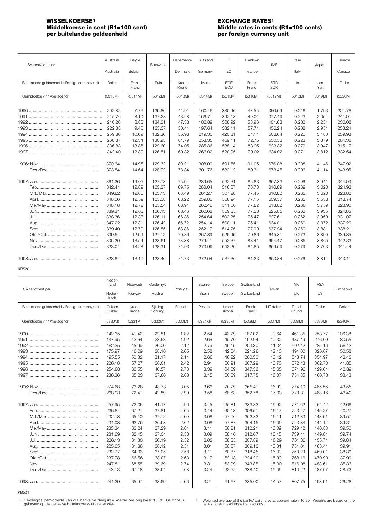## <span id="page-21-0"></span>**WISSELKOERSE1 EXCHANGE RATES1** per buitelandse geldeenheid

# **Middle rates in cents (R1=100 cents)** per foreign currency unit

| SA sent/cent per                                | Australië | België         | Botswana | Denemarke      | Duitsland | EG         | Frankryk       | IMF                      | Italië  | Japan      | Kanada  |
|-------------------------------------------------|-----------|----------------|----------|----------------|-----------|------------|----------------|--------------------------|---------|------------|---------|
|                                                 | Australia | Belgium        |          | Denmark        | Germany   | EC         | France         |                          | Italy   |            | Canada  |
| Buitelandse geldeenheid / Foreign currency unit | Dollar    | Frank<br>Franc | Pula     | Kroon<br>Krone | Mark      | EGE<br>ECU | Frank<br>Franc | <b>STR</b><br><b>SDR</b> | Lira    | Jen<br>Yen | Dollar  |
| Gemiddelde vir / Average for                    | (5310M)   | (5311M)        | (5312M)  | (5313M)        | (5314M)   | (5315M)    | (5316M)        | (5317M)                  | (5318M) | (5319M)    | (5320M) |
|                                                 | 202.82    | 7.76           | 139.86   | 41.91          | 160.46    | 330.46     | 47.55          | 350.59                   | 0.216   | 1.793      | 221.78  |
|                                                 | 215.76    | 8.10           | 137.28   | 43.28          | 166.71    | 342.13     | 49.01          | 377.49                   | 0.223   | 2.054      | 241.01  |
|                                                 | 210.20    | 8.88           | 134.21   | 47.33          | 182.89    | 368.92     | 53.96          | 401.68                   | 0.232   | 2.254      | 236.08  |
|                                                 | 222.38    | 9.46           | 135.37   | 50.44          | 197.64    | 382.11     | 57.71          | 456.24                   | 0.208   | 2.951      | 253.24  |
|                                                 | 259.80    | 10.69          | 132.36   | 55.98          | 219.30    | 420.81     | 64.11          | 508.64                   | 0.220   | 3.480      | 259.98  |
|                                                 | 268.87    | 12.34          | 130.95   | 64.79          | 253.35    | 469.11     | 72.75          | 550.53                   | 0.223   | 3.879      | 264.36  |
|                                                 | 336.88    | 13.86          | 129.60   | 74.05          | 285.36    | 538.14     | 83.95          | 623.82                   | 0.279   | 3.947      | 315.17  |
|                                                 | 342.40    | 12.89          | 126.51   | 69.82          | 266.02    | 520.95     | 79.02          | 634.02                   | 0.271   | 3.812      | 332.54  |
|                                                 | 370.64    | 14.95          | 129.32   | 80.21          | 308.09    | 591.65     | 91.05          | 676.08                   | 0.308   | 4.146      | 347.92  |
|                                                 | 373.54    | 14.64          | 128.72   | 78.84          | 301.76    | 582.12     | 89.31          | 673.45                   | 0.306   | 4.114      | 343.95  |
|                                                 | 361.26    | 14.05          | 127.73   | 75.94          | 289.65    | 562.31     | 85.83          | 657.33                   | 0.296   | 3.941      | 344.03  |
|                                                 | 342.41    | 12.89          | 125.37   | 69.75          | 266.04    | 516.37     | 78.78          | 616.89                   | 0.269   | 3.620      | 324.93  |
|                                                 | 349.82    | 12.66          | 125.13   | 68.49          | 261.27    | 507.28     | 77.45          | 610.82                   | 0.262   | 3.620      | 323.82  |
|                                                 | 346.06    | 12.59          | 125.08   | 68.22          | 259.86    | 506.94     | 77.15          | 609.57                   | 0.262   | 3.538      | 318.74  |
|                                                 | 346.18    | 12.72          | 125.54   | 68.91          | 262.46    | 511.50     | 77.82          | 618.82                   | 0.266   | 3.759      | 323.90  |
|                                                 | 339.31    | 12.63          | 126.13   | 68.46          | 260.68    | 509.35     | 77.23          | 625.85                   | 0.266   | 3.935      | 324.85  |
|                                                 | 338.36    | 12.33          | 126.11   | 66.86          | 254.64    | 502.25     | 75.47          | 627.61                   | 0.262   | 3.959      | 331.07  |
|                                                 | 347.22    | 12.31          | 126.42   | 66.72          | 254.14    | 500.11     | 75.41          | 634.01                   | 0.260   | 3.972      | 337.29  |
|                                                 | 339.40    | 12.70          | 126.55   | 68.86          | 262.17    | 514.25     | 77.99          | 637.94                   | 0.269   | 3.881      | 338.21  |
|                                                 | 339.54    | 12.99          | 127.12   | 70.36          | 267.89    | 526.45     | 79.86          | 645.31                   | 0.273   | 3.890      | 339.85  |
|                                                 | 336.20    | 13.54          | 128.61   | 73.38          | 279.41    | 552.37     | 83.41          | 664.47                   | 0.285   | 3.865      | 342.33  |
|                                                 | 323.01    | 13.28          | 128.31   | 71.93          | 273.99    | 542.20     | 81.85          | 659.59                   | 0.279   | 3.763      | 341.44  |
|                                                 | 323.64    | 13.19          | 128.46   | 71.73          | 272.04    | 537.36     | 81.23          | 663.84                   | 0.276   | 3.814      | 343.11  |

KB520

| SA sent/cent per                                | Neder-<br>land<br>Nether-<br>lands                                                                                   | Noorweë<br>Norway                                                                                        | Oostenryk<br>Austria                                                                                     | Portugal                                                                                     | Spanje<br>Spain                                                                              | Swede<br>Sweden                                                                                          | Switserland<br>Switzerland                                                                                           | Taiwan                                                                                                   | <b>VK</b><br><b>UK</b>                                                                                               | <b>VSA</b><br>US                                                                                                     | Zimbabwe                                                                                                 |
|-------------------------------------------------|----------------------------------------------------------------------------------------------------------------------|----------------------------------------------------------------------------------------------------------|----------------------------------------------------------------------------------------------------------|----------------------------------------------------------------------------------------------|----------------------------------------------------------------------------------------------|----------------------------------------------------------------------------------------------------------|----------------------------------------------------------------------------------------------------------------------|----------------------------------------------------------------------------------------------------------|----------------------------------------------------------------------------------------------------------------------|----------------------------------------------------------------------------------------------------------------------|----------------------------------------------------------------------------------------------------------|
| Buitelandse geldeenheid / Foreign currency unit | Gulden<br>Guilder                                                                                                    | Kroon<br>Krone                                                                                           | Sjieling<br>Schilling                                                                                    | Escudo                                                                                       | Peseta                                                                                       | Kroon<br>Krona                                                                                           | Frank<br>Franc                                                                                                       | NT dollar                                                                                                | Pond<br>Pound                                                                                                        | Dollar                                                                                                               | Dollar                                                                                                   |
| Gemiddelde vir / Average for                    | (5330M)                                                                                                              | (5331M)                                                                                                  | (5332M)                                                                                                  | (5333M)                                                                                      | (5334M)                                                                                      | (5335M)                                                                                                  | (5336M)                                                                                                              | (5337M)                                                                                                  | (5338M)                                                                                                              | (5339M)                                                                                                              | (5340M)                                                                                                  |
|                                                 | 142.35<br>147.95<br>162.35<br>175.97<br>195.55<br>226.18<br>254.68<br>236.36<br>274.68<br>268.93                     | 41.42<br>42.64<br>45.99<br>46.09<br>50.32<br>57.27<br>66.55<br>65.23<br>73.28<br>72.41                   | 22.81<br>23.63<br>26.00<br>28.10<br>31.17<br>36.01<br>40.57<br>37.80<br>43.78<br>42.89                   | 1.82<br>1.92<br>2.12<br>2.05<br>2.14<br>2.42<br>2.78<br>2.63<br>3.05<br>2.99                 | 2.54<br>2.66<br>2.79<br>2.58<br>2.66<br>2.91<br>3.39<br>3.15<br>3.66<br>3.58                 | 43.79<br>45.70<br>49.15<br>42.04<br>46.22<br>50.91<br>64.09<br>60.39<br>70.29<br>68.63                   | 187.02<br>192.94<br>203.30<br>221.26<br>260.30<br>307.29<br>347.36<br>317.75<br>365.41<br>352.78                     | 9.64<br>10.32<br>11.34<br>12.40<br>13.42<br>13.70<br>15.65<br>16.07<br>16.93<br>17.03                    | 461.35<br>487.49<br>502.42<br>491.00<br>543.74<br>572.43<br>671.96<br>754.85<br>774.10<br>779.31                     | 258.77<br>276.09<br>285.16<br>326.67<br>354.97<br>362.70<br>429.64<br>460.73<br>465.56<br>468.16                     | 106.38<br>80.55<br>56.13<br>50.58<br>43.42<br>41.85<br>42.89<br>38.43<br>43.55<br>43.40                  |
|                                                 | 257.95<br>236.84<br>232.18<br>231.08<br>233.34<br>231.69<br>226.13<br>225.65<br>232.77<br>237.78<br>247.81<br>243.13 | 72.05<br>67.21<br>65.10<br>63.75<br>63.24<br>62.45<br>61.30<br>61.36<br>64.03<br>66.56<br>68.55<br>67.18 | 41.17<br>37.81<br>37.12<br>36.93<br>37.29<br>37.04<br>36.19<br>36.12<br>37.25<br>38.07<br>39.69<br>38.94 | 2.90<br>2.65<br>2.60<br>2.62<br>2.61<br>2.58<br>2.52<br>2.51<br>2.58<br>2.63<br>2.74<br>2.68 | 3.45<br>3.14<br>3.08<br>3.08<br>3.11<br>3.09<br>3.02<br>3.01<br>3.11<br>3.17<br>3.31<br>3.24 | 65.81<br>60.18<br>57.96<br>57.87<br>58.21<br>58.10<br>58.35<br>58.57<br>60.87<br>62.18<br>63.99<br>62.52 | 333.83<br>306.51<br>302.33<br>304.15<br>312.21<br>312.07<br>307.89<br>309.13<br>318.45<br>324.20<br>343.85<br>338.40 | 16.92<br>16.17<br>16.11<br>16.09<br>16.09<br>16.15<br>16.29<br>16.31<br>16.39<br>15.99<br>15.30<br>15.06 | 771.62<br>723.47<br>712.83<br>723.84<br>729.42<br>739.41<br>761.86<br>751.01<br>750.29<br>768.16<br>816.08<br>810.22 | 464.42<br>445.27<br>443.61<br>444.12<br>446.83<br>449.81<br>455.74<br>468.41<br>469.01<br>470.90<br>483.61<br>487.07 | 42.66<br>40.27<br>39.57<br>39.31<br>39.50<br>39.74<br>39.84<br>39.91<br>38.30<br>37.99<br>35.33<br>28.72 |
|                                                 | 241.39                                                                                                               | 65.97                                                                                                    | 38.69                                                                                                    | 2.66                                                                                         | 3.21                                                                                         | 61.67                                                                                                    | 335.00                                                                                                               | 14.57                                                                                                    | 807.75                                                                                                               | 493.91                                                                                                               | 26.28                                                                                                    |

KB521

1. Geweegde gemiddelde van die banke se daaglikse koerse om ongeveer 10:30. Gewigte is and Weighted average of the banks' daily rates at approximately 10:30. Weights are based on the gebaseer op die banke se buitelandse va 1. Weighted average of the banks' daily r banks' foreign exchange transactions.